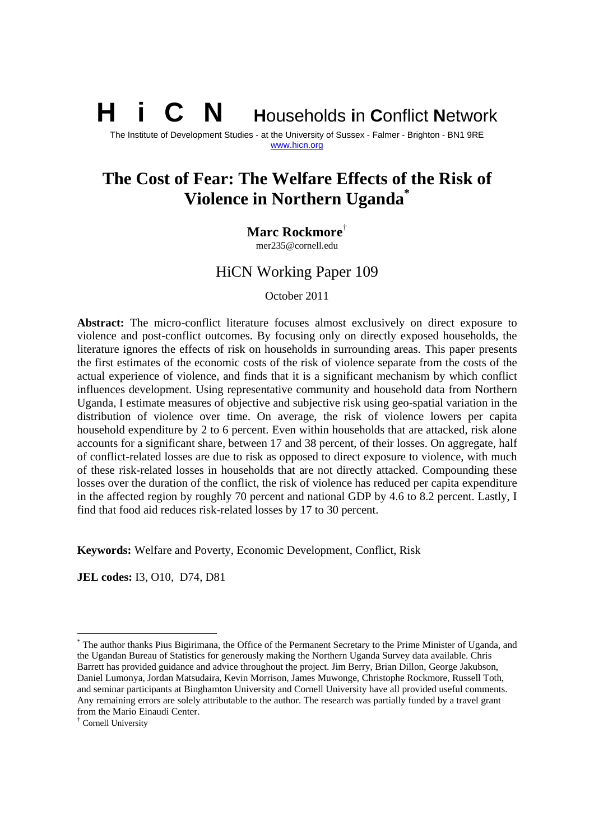**i** C **N Households in Conflict Network** 

The Institute of Development Studies - at the University of Sussex - Falmer - Brighton - BN1 9RE www.hicn.org

# **The Cost of Fear: The Welfare Effects of the Risk of Violence in Northern Uganda\***

**Marc Rockmore**†

mer235@cornell.edu

# HiCN Working Paper 109

October 2011

**Abstract:** The micro-conflict literature focuses almost exclusively on direct exposure to violence and post-conflict outcomes. By focusing only on directly exposed households, the literature ignores the effects of risk on households in surrounding areas. This paper presents the first estimates of the economic costs of the risk of violence separate from the costs of the actual experience of violence, and finds that it is a significant mechanism by which conflict influences development. Using representative community and household data from Northern Uganda, I estimate measures of objective and subjective risk using geo-spatial variation in the distribution of violence over time. On average, the risk of violence lowers per capita household expenditure by 2 to 6 percent. Even within households that are attacked, risk alone accounts for a significant share, between 17 and 38 percent, of their losses. On aggregate, half of conflict-related losses are due to risk as opposed to direct exposure to violence, with much of these risk-related losses in households that are not directly attacked. Compounding these losses over the duration of the conflict, the risk of violence has reduced per capita expenditure in the affected region by roughly 70 percent and national GDP by 4.6 to 8.2 percent. Lastly, I find that food aid reduces risk-related losses by 17 to 30 percent.

**Keywords:** Welfare and Poverty, Economic Development, Conflict, Risk

**JEL codes:** I3, O10, D74, D81

-

<sup>\*</sup> The author thanks Pius Bigirimana, the Office of the Permanent Secretary to the Prime Minister of Uganda, and the Ugandan Bureau of Statistics for generously making the Northern Uganda Survey data available. Chris Barrett has provided guidance and advice throughout the project. Jim Berry, Brian Dillon, George Jakubson, Daniel Lumonya, Jordan Matsudaira, Kevin Morrison, James Muwonge, Christophe Rockmore, Russell Toth, and seminar participants at Binghamton University and Cornell University have all provided useful comments. Any remaining errors are solely attributable to the author. The research was partially funded by a travel grant from the Mario Einaudi Center.

<sup>†</sup> Cornell University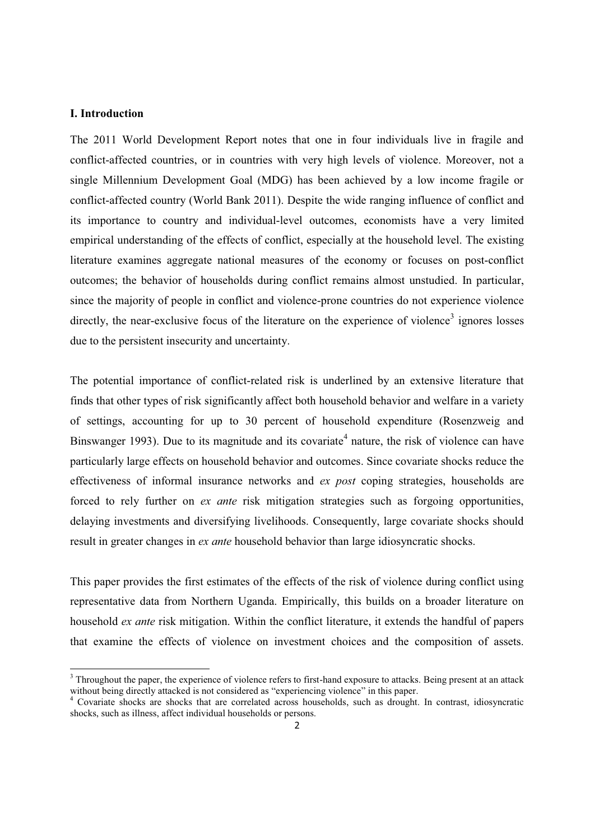#### **I. Introduction**

 $\overline{a}$ 

The 2011 World Development Report notes that one in four individuals live in fragile and conflict-affected countries, or in countries with very high levels of violence. Moreover, not a single Millennium Development Goal (MDG) has been achieved by a low income fragile or conflict-affected country (World Bank 2011). Despite the wide ranging influence of conflict and its importance to country and individual-level outcomes, economists have a very limited empirical understanding of the effects of conflict, especially at the household level. The existing literature examines aggregate national measures of the economy or focuses on post-conflict outcomes; the behavior of households during conflict remains almost unstudied. In particular, since the majority of people in conflict and violence-prone countries do not experience violence directly, the near-exclusive focus of the literature on the experience of violence<sup>3</sup> ignores losses due to the persistent insecurity and uncertainty.

The potential importance of conflict-related risk is underlined by an extensive literature that finds that other types of risk significantly affect both household behavior and welfare in a variety of settings, accounting for up to 30 percent of household expenditure (Rosenzweig and Binswanger 1993). Due to its magnitude and its covariate<sup>4</sup> nature, the risk of violence can have particularly large effects on household behavior and outcomes. Since covariate shocks reduce the effectiveness of informal insurance networks and *ex post* coping strategies, households are forced to rely further on *ex ante* risk mitigation strategies such as forgoing opportunities, delaying investments and diversifying livelihoods. Consequently, large covariate shocks should result in greater changes in *ex ante* household behavior than large idiosyncratic shocks.

This paper provides the first estimates of the effects of the risk of violence during conflict using representative data from Northern Uganda. Empirically, this builds on a broader literature on household *ex ante* risk mitigation. Within the conflict literature, it extends the handful of papers that examine the effects of violence on investment choices and the composition of assets.

 $3$  Throughout the paper, the experience of violence refers to first-hand exposure to attacks. Being present at an attack without being directly attacked is not considered as "experiencing violence" in this paper.

<sup>&</sup>lt;sup>4</sup> Covariate shocks are shocks that are correlated across households, such as drought. In contrast, idiosyncratic shocks, such as illness, affect individual households or persons.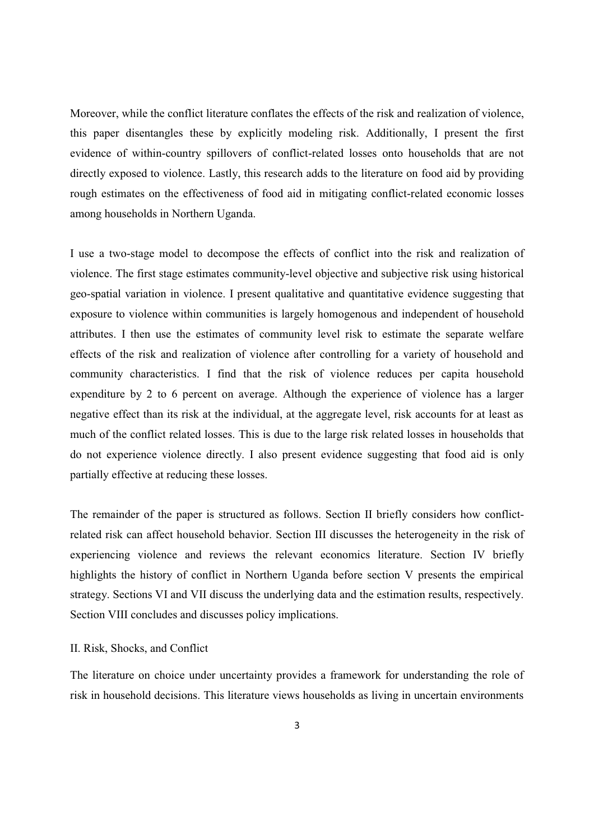Moreover, while the conflict literature conflates the effects of the risk and realization of violence, this paper disentangles these by explicitly modeling risk. Additionally, I present the first evidence of within-country spillovers of conflict-related losses onto households that are not directly exposed to violence. Lastly, this research adds to the literature on food aid by providing rough estimates on the effectiveness of food aid in mitigating conflict-related economic losses among households in Northern Uganda.

I use a two-stage model to decompose the effects of conflict into the risk and realization of violence. The first stage estimates community-level objective and subjective risk using historical geo-spatial variation in violence. I present qualitative and quantitative evidence suggesting that exposure to violence within communities is largely homogenous and independent of household attributes. I then use the estimates of community level risk to estimate the separate welfare effects of the risk and realization of violence after controlling for a variety of household and community characteristics. I find that the risk of violence reduces per capita household expenditure by 2 to 6 percent on average. Although the experience of violence has a larger negative effect than its risk at the individual, at the aggregate level, risk accounts for at least as much of the conflict related losses. This is due to the large risk related losses in households that do not experience violence directly. I also present evidence suggesting that food aid is only partially effective at reducing these losses.

The remainder of the paper is structured as follows. Section II briefly considers how conflictrelated risk can affect household behavior. Section III discusses the heterogeneity in the risk of experiencing violence and reviews the relevant economics literature. Section IV briefly highlights the history of conflict in Northern Uganda before section V presents the empirical strategy. Sections VI and VII discuss the underlying data and the estimation results, respectively. Section VIII concludes and discusses policy implications.

#### II. Risk, Shocks, and Conflict

The literature on choice under uncertainty provides a framework for understanding the role of risk in household decisions. This literature views households as living in uncertain environments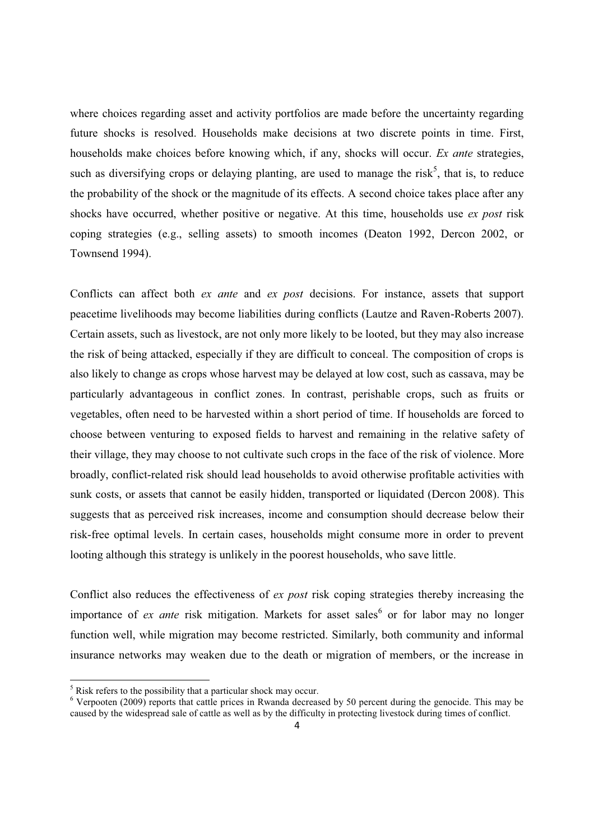where choices regarding asset and activity portfolios are made before the uncertainty regarding future shocks is resolved. Households make decisions at two discrete points in time. First, households make choices before knowing which, if any, shocks will occur. *Ex ante* strategies, such as diversifying crops or delaying planting, are used to manage the risk<sup>5</sup>, that is, to reduce the probability of the shock or the magnitude of its effects. A second choice takes place after any shocks have occurred, whether positive or negative. At this time, households use *ex post* risk coping strategies (e.g., selling assets) to smooth incomes (Deaton 1992, Dercon 2002, or Townsend 1994).

Conflicts can affect both *ex ante* and *ex post* decisions. For instance, assets that support peacetime livelihoods may become liabilities during conflicts (Lautze and Raven-Roberts 2007). Certain assets, such as livestock, are not only more likely to be looted, but they may also increase the risk of being attacked, especially if they are difficult to conceal. The composition of crops is also likely to change as crops whose harvest may be delayed at low cost, such as cassava, may be particularly advantageous in conflict zones. In contrast, perishable crops, such as fruits or vegetables, often need to be harvested within a short period of time. If households are forced to choose between venturing to exposed fields to harvest and remaining in the relative safety of their village, they may choose to not cultivate such crops in the face of the risk of violence. More broadly, conflict-related risk should lead households to avoid otherwise profitable activities with sunk costs, or assets that cannot be easily hidden, transported or liquidated (Dercon 2008). This suggests that as perceived risk increases, income and consumption should decrease below their risk-free optimal levels. In certain cases, households might consume more in order to prevent looting although this strategy is unlikely in the poorest households, who save little.

Conflict also reduces the effectiveness of *ex post* risk coping strategies thereby increasing the importance of *ex ante* risk mitigation. Markets for asset sales<sup>6</sup> or for labor may no longer function well, while migration may become restricted. Similarly, both community and informal insurance networks may weaken due to the death or migration of members, or the increase in

<sup>&</sup>lt;sup>5</sup> Risk refers to the possibility that a particular shock may occur.

<sup>&</sup>lt;sup>6</sup> Verpooten (2009) reports that cattle prices in Rwanda decreased by 50 percent during the genocide. This may be caused by the widespread sale of cattle as well as by the difficulty in protecting livestock during times of conflict.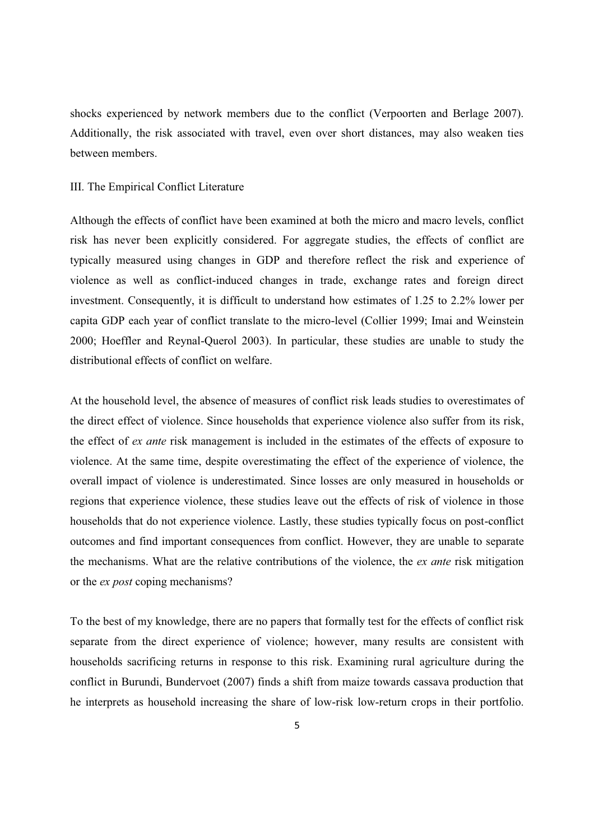shocks experienced by network members due to the conflict (Verpoorten and Berlage 2007). Additionally, the risk associated with travel, even over short distances, may also weaken ties between members.

#### III. The Empirical Conflict Literature

Although the effects of conflict have been examined at both the micro and macro levels, conflict risk has never been explicitly considered. For aggregate studies, the effects of conflict are typically measured using changes in GDP and therefore reflect the risk and experience of violence as well as conflict-induced changes in trade, exchange rates and foreign direct investment. Consequently, it is difficult to understand how estimates of 1.25 to 2.2% lower per capita GDP each year of conflict translate to the micro-level (Collier 1999; Imai and Weinstein 2000; Hoeffler and Reynal-Querol 2003). In particular, these studies are unable to study the distributional effects of conflict on welfare.

At the household level, the absence of measures of conflict risk leads studies to overestimates of the direct effect of violence. Since households that experience violence also suffer from its risk, the effect of *ex ante* risk management is included in the estimates of the effects of exposure to violence. At the same time, despite overestimating the effect of the experience of violence, the overall impact of violence is underestimated. Since losses are only measured in households or regions that experience violence, these studies leave out the effects of risk of violence in those households that do not experience violence. Lastly, these studies typically focus on post-conflict outcomes and find important consequences from conflict. However, they are unable to separate the mechanisms. What are the relative contributions of the violence, the *ex ante* risk mitigation or the *ex post* coping mechanisms?

To the best of my knowledge, there are no papers that formally test for the effects of conflict risk separate from the direct experience of violence; however, many results are consistent with households sacrificing returns in response to this risk. Examining rural agriculture during the conflict in Burundi, Bundervoet (2007) finds a shift from maize towards cassava production that he interprets as household increasing the share of low-risk low-return crops in their portfolio.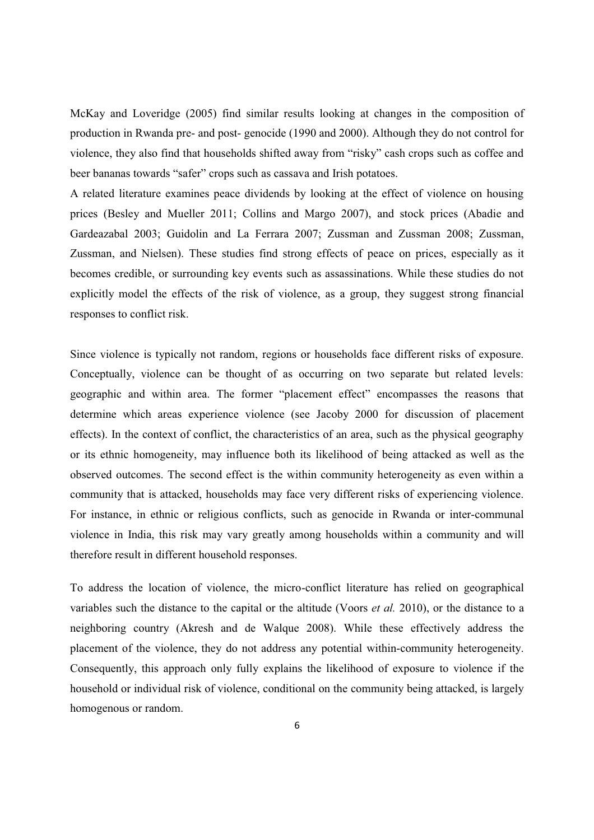McKay and Loveridge (2005) find similar results looking at changes in the composition of production in Rwanda pre- and post- genocide (1990 and 2000). Although they do not control for violence, they also find that households shifted away from "risky" cash crops such as coffee and beer bananas towards "safer" crops such as cassava and Irish potatoes.

A related literature examines peace dividends by looking at the effect of violence on housing prices (Besley and Mueller 2011; Collins and Margo 2007), and stock prices (Abadie and Gardeazabal 2003; Guidolin and La Ferrara 2007; Zussman and Zussman 2008; Zussman, Zussman, and Nielsen). These studies find strong effects of peace on prices, especially as it becomes credible, or surrounding key events such as assassinations. While these studies do not explicitly model the effects of the risk of violence, as a group, they suggest strong financial responses to conflict risk.

Since violence is typically not random, regions or households face different risks of exposure. Conceptually, violence can be thought of as occurring on two separate but related levels: geographic and within area. The former "placement effect" encompasses the reasons that determine which areas experience violence (see Jacoby 2000 for discussion of placement effects). In the context of conflict, the characteristics of an area, such as the physical geography or its ethnic homogeneity, may influence both its likelihood of being attacked as well as the observed outcomes. The second effect is the within community heterogeneity as even within a community that is attacked, households may face very different risks of experiencing violence. For instance, in ethnic or religious conflicts, such as genocide in Rwanda or inter-communal violence in India, this risk may vary greatly among households within a community and will therefore result in different household responses.

To address the location of violence, the micro-conflict literature has relied on geographical variables such the distance to the capital or the altitude (Voors *et al.* 2010), or the distance to a neighboring country (Akresh and de Walque 2008). While these effectively address the placement of the violence, they do not address any potential within-community heterogeneity. Consequently, this approach only fully explains the likelihood of exposure to violence if the household or individual risk of violence, conditional on the community being attacked, is largely homogenous or random.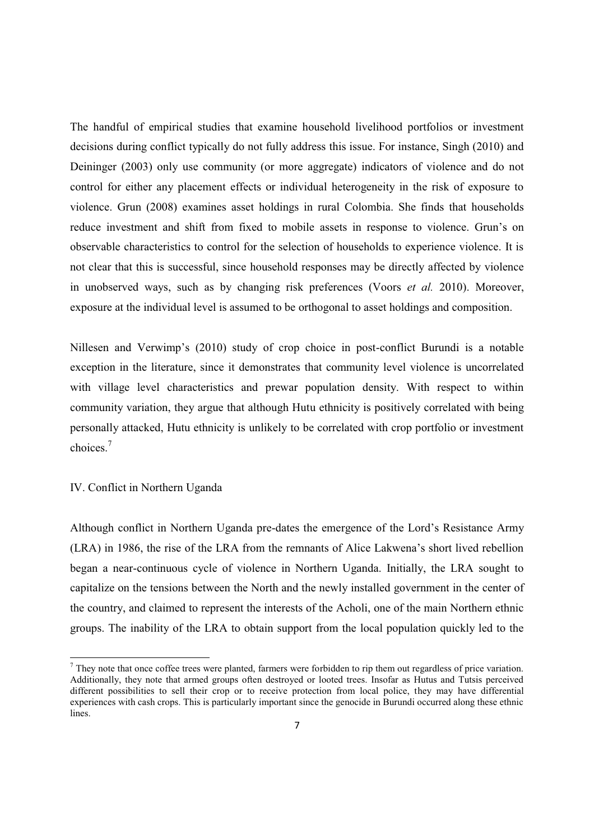The handful of empirical studies that examine household livelihood portfolios or investment decisions during conflict typically do not fully address this issue. For instance, Singh (2010) and Deininger (2003) only use community (or more aggregate) indicators of violence and do not control for either any placement effects or individual heterogeneity in the risk of exposure to violence. Grun (2008) examines asset holdings in rural Colombia. She finds that households reduce investment and shift from fixed to mobile assets in response to violence. Grun's on observable characteristics to control for the selection of households to experience violence. It is not clear that this is successful, since household responses may be directly affected by violence in unobserved ways, such as by changing risk preferences (Voors *et al.* 2010). Moreover, exposure at the individual level is assumed to be orthogonal to asset holdings and composition.

Nillesen and Verwimp's  $(2010)$  study of crop choice in post-conflict Burundi is a notable exception in the literature, since it demonstrates that community level violence is uncorrelated with village level characteristics and prewar population density. With respect to within community variation, they argue that although Hutu ethnicity is positively correlated with being personally attacked, Hutu ethnicity is unlikely to be correlated with crop portfolio or investment choices.<sup>7</sup>

#### IV. Conflict in Northern Uganda

 $\overline{a}$ 

Although conflict in Northern Uganda pre-dates the emergence of the Lord's Resistance Army (LRA) in 1986, the rise of the LRA from the remnants of Alice Lakwena's short lived rebellion began a near-continuous cycle of violence in Northern Uganda. Initially, the LRA sought to capitalize on the tensions between the North and the newly installed government in the center of the country, and claimed to represent the interests of the Acholi, one of the main Northern ethnic groups. The inability of the LRA to obtain support from the local population quickly led to the

 $<sup>7</sup>$  They note that once coffee trees were planted, farmers were forbidden to rip them out regardless of price variation.</sup> Additionally, they note that armed groups often destroyed or looted trees. Insofar as Hutus and Tutsis perceived different possibilities to sell their crop or to receive protection from local police, they may have differential experiences with cash crops. This is particularly important since the genocide in Burundi occurred along these ethnic lines.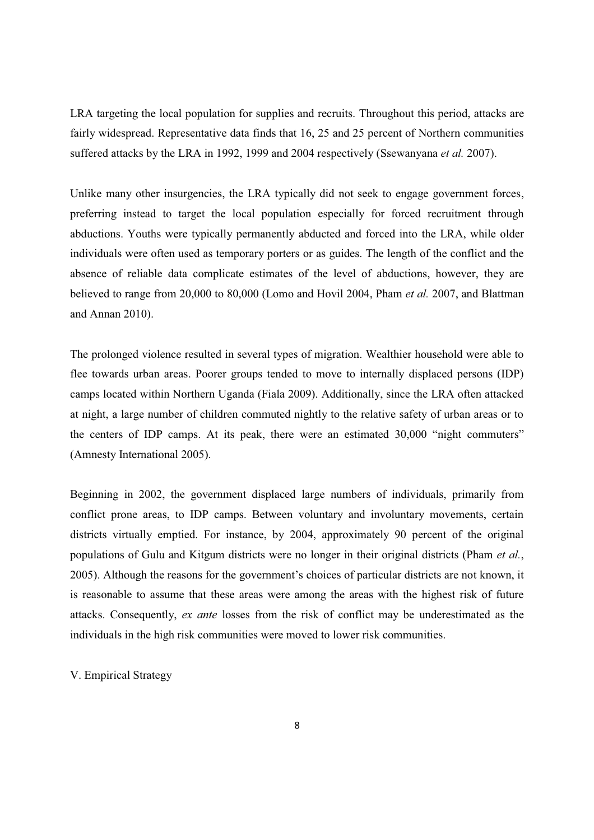LRA targeting the local population for supplies and recruits. Throughout this period, attacks are fairly widespread. Representative data finds that 16, 25 and 25 percent of Northern communities suffered attacks by the LRA in 1992, 1999 and 2004 respectively (Ssewanyana *et al.* 2007).

Unlike many other insurgencies, the LRA typically did not seek to engage government forces, preferring instead to target the local population especially for forced recruitment through abductions. Youths were typically permanently abducted and forced into the LRA, while older individuals were often used as temporary porters or as guides. The length of the conflict and the absence of reliable data complicate estimates of the level of abductions, however, they are believed to range from 20,000 to 80,000 (Lomo and Hovil 2004, Pham *et al.* 2007, and Blattman and Annan 2010).

The prolonged violence resulted in several types of migration. Wealthier household were able to flee towards urban areas. Poorer groups tended to move to internally displaced persons (IDP) camps located within Northern Uganda (Fiala 2009). Additionally, since the LRA often attacked at night, a large number of children commuted nightly to the relative safety of urban areas or to the centers of IDP camps. At its peak, there were an estimated 30,000 "night commuters" (Amnesty International 2005).

Beginning in 2002, the government displaced large numbers of individuals, primarily from conflict prone areas, to IDP camps. Between voluntary and involuntary movements, certain districts virtually emptied. For instance, by 2004, approximately 90 percent of the original populations of Gulu and Kitgum districts were no longer in their original districts (Pham *et al.*, 2005). Although the reasons for the government's choices of particular districts are not known, it is reasonable to assume that these areas were among the areas with the highest risk of future attacks. Consequently, *ex ante* losses from the risk of conflict may be underestimated as the individuals in the high risk communities were moved to lower risk communities.

V. Empirical Strategy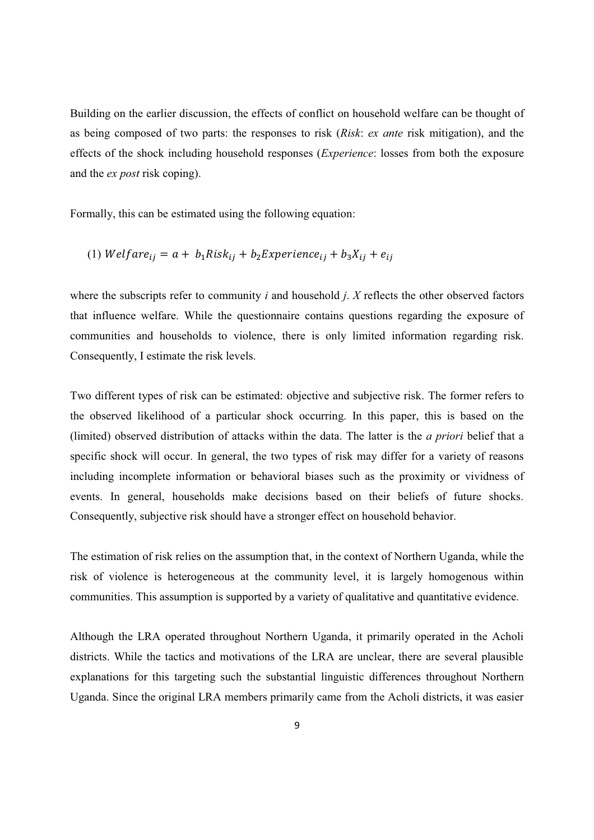Building on the earlier discussion, the effects of conflict on household welfare can be thought of as being composed of two parts: the responses to risk (*Risk*: *ex ante* risk mitigation), and the effects of the shock including household responses (*Experience*: losses from both the exposure and the *ex post* risk coping).

Formally, this can be estimated using the following equation:

(1) 
$$
Welfare_{ij} = a + b_1Risk_{ij} + b_2Experience_{ij} + b_3X_{ij} + e_{ij}
$$

where the subscripts refer to community *i* and household *j*. *X* reflects the other observed factors that influence welfare. While the questionnaire contains questions regarding the exposure of communities and households to violence, there is only limited information regarding risk. Consequently, I estimate the risk levels.

Two different types of risk can be estimated: objective and subjective risk. The former refers to the observed likelihood of a particular shock occurring. In this paper, this is based on the (limited) observed distribution of attacks within the data. The latter is the *a priori* belief that a specific shock will occur. In general, the two types of risk may differ for a variety of reasons including incomplete information or behavioral biases such as the proximity or vividness of events. In general, households make decisions based on their beliefs of future shocks. Consequently, subjective risk should have a stronger effect on household behavior.

The estimation of risk relies on the assumption that, in the context of Northern Uganda, while the risk of violence is heterogeneous at the community level, it is largely homogenous within communities. This assumption is supported by a variety of qualitative and quantitative evidence.

Although the LRA operated throughout Northern Uganda, it primarily operated in the Acholi districts. While the tactics and motivations of the LRA are unclear, there are several plausible explanations for this targeting such the substantial linguistic differences throughout Northern Uganda. Since the original LRA members primarily came from the Acholi districts, it was easier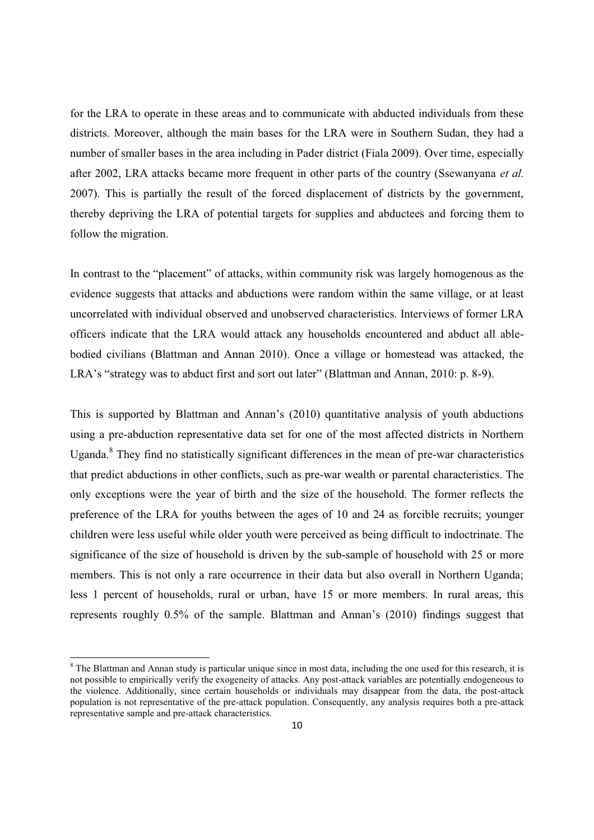for the LRA to operate in these areas and to communicate with abducted individuals from these districts. Moreover, although the main bases for the LRA were in Southern Sudan, they had a number of smaller bases in the area including in Pader district (Fiala 2009). Over time, especially after 2002, LRA attacks became more frequent in other parts of the country (Ssewanyana *et al.* 2007). This is partially the result of the forced displacement of districts by the government, thereby depriving the LRA of potential targets for supplies and abductees and forcing them to follow the migration.

In contrast to the "placement" of attacks, within community risk was largely homogenous as the evidence suggests that attacks and abductions were random within the same village, or at least uncorrelated with individual observed and unobserved characteristics. Interviews of former LRA officers indicate that the LRA would attack any households encountered and abduct all ablebodied civilians (Blattman and Annan 2010). Once a village or homestead was attacked, the LRA's "strategy was to abduct first and sort out later" (Blattman and Annan, 2010: p. 8-9).

This is supported by Blattman and Annan's  $(2010)$  quantitative analysis of youth abductions using a pre-abduction representative data set for one of the most affected districts in Northern Uganda.<sup>8</sup> They find no statistically significant differences in the mean of pre-war characteristics that predict abductions in other conflicts, such as pre-war wealth or parental characteristics. The only exceptions were the year of birth and the size of the household. The former reflects the preference of the LRA for youths between the ages of 10 and 24 as forcible recruits; younger children were less useful while older youth were perceived as being difficult to indoctrinate. The significance of the size of household is driven by the sub-sample of household with 25 or more members. This is not only a rare occurrence in their data but also overall in Northern Uganda; less 1 percent of households, rural or urban, have 15 or more members. In rural areas, this represents roughly  $0.5\%$  of the sample. Blattman and Annan's (2010) findings suggest that

<sup>&</sup>lt;sup>8</sup> The Blattman and Annan study is particular unique since in most data, including the one used for this research, it is not possible to empirically verify the exogeneity of attacks. Any post-attack variables are potentially endogeneous to the violence. Additionally, since certain households or individuals may disappear from the data, the post-attack population is not representative of the pre-attack population. Consequently, any analysis requires both a pre-attack representative sample and pre-attack characteristics.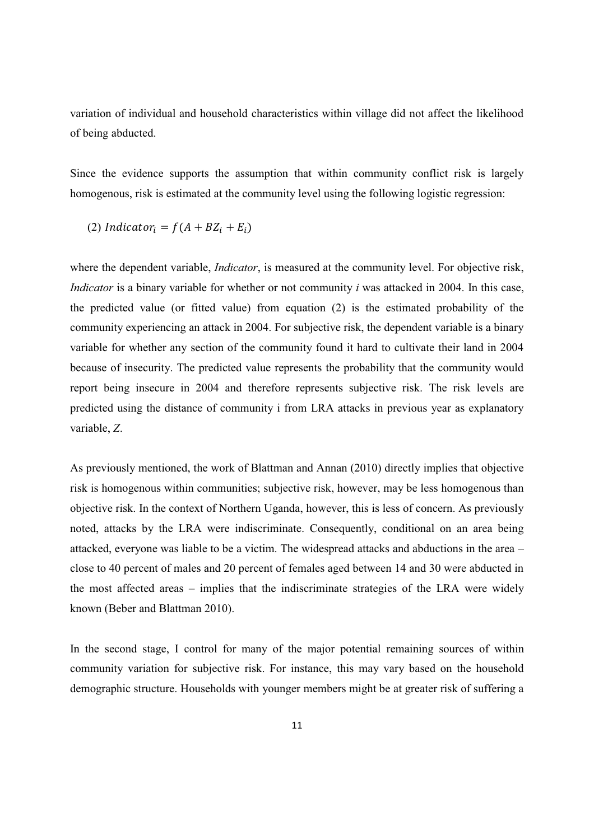variation of individual and household characteristics within village did not affect the likelihood of being abducted.

Since the evidence supports the assumption that within community conflict risk is largely homogenous, risk is estimated at the community level using the following logistic regression:

(2) *Indicator<sub>i</sub>* = 
$$
f(A + BZ_i + E_i)
$$

where the dependent variable, *Indicator*, is measured at the community level. For objective risk, *Indicator* is a binary variable for whether or not community *i* was attacked in 2004. In this case, the predicted value (or fitted value) from equation (2) is the estimated probability of the community experiencing an attack in 2004. For subjective risk, the dependent variable is a binary variable for whether any section of the community found it hard to cultivate their land in 2004 because of insecurity. The predicted value represents the probability that the community would report being insecure in 2004 and therefore represents subjective risk. The risk levels are predicted using the distance of community i from LRA attacks in previous year as explanatory variable, *Z*.

As previously mentioned, the work of Blattman and Annan (2010) directly implies that objective risk is homogenous within communities; subjective risk, however, may be less homogenous than objective risk. In the context of Northern Uganda, however, this is less of concern. As previously noted, attacks by the LRA were indiscriminate. Consequently, conditional on an area being attacked, everyone was liable to be a victim. The widespread attacks and abductions in the area  $$ close to 40 percent of males and 20 percent of females aged between 14 and 30 were abducted in the most affected areas  $-$  implies that the indiscriminate strategies of the LRA were widely known (Beber and Blattman 2010).

In the second stage, I control for many of the major potential remaining sources of within community variation for subjective risk. For instance, this may vary based on the household demographic structure. Households with younger members might be at greater risk of suffering a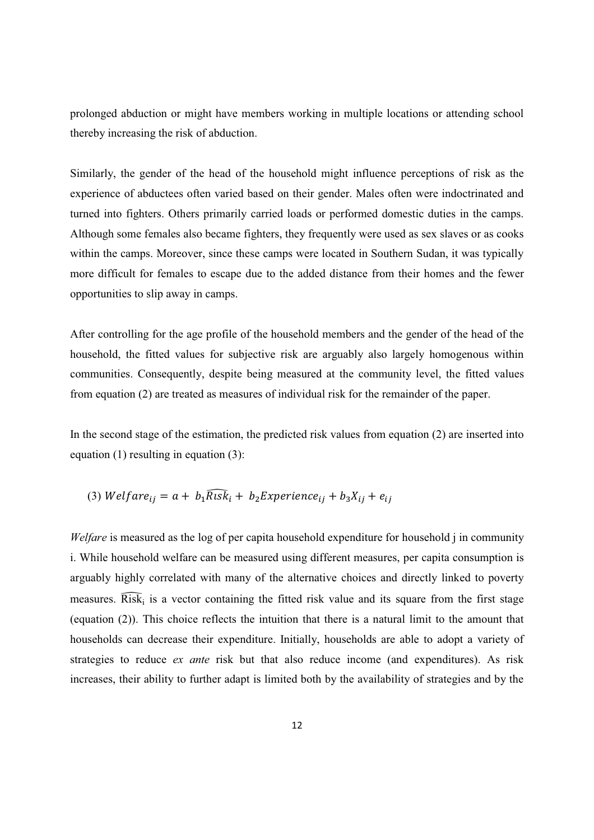prolonged abduction or might have members working in multiple locations or attending school thereby increasing the risk of abduction.

Similarly, the gender of the head of the household might influence perceptions of risk as the experience of abductees often varied based on their gender. Males often were indoctrinated and turned into fighters. Others primarily carried loads or performed domestic duties in the camps. Although some females also became fighters, they frequently were used as sex slaves or as cooks within the camps. Moreover, since these camps were located in Southern Sudan, it was typically more difficult for females to escape due to the added distance from their homes and the fewer opportunities to slip away in camps.

After controlling for the age profile of the household members and the gender of the head of the household, the fitted values for subjective risk are arguably also largely homogenous within communities. Consequently, despite being measured at the community level, the fitted values from equation (2) are treated as measures of individual risk for the remainder of the paper.

In the second stage of the estimation, the predicted risk values from equation (2) are inserted into equation (1) resulting in equation (3):

(3) *Welfare<sub>ij</sub>* = 
$$
a + b_1 \overline{R} \cdot s \overline{k}_i + b_2 \overline{E} \cdot s \cdot z \cdot t
$$

*Welfare* is measured as the log of per capita household expenditure for household j in community i. While household welfare can be measured using different measures, per capita consumption is arguably highly correlated with many of the alternative choices and directly linked to poverty measures.  $\overline{\text{Risk}}_i$  is a vector containing the fitted risk value and its square from the first stage (equation (2)). This choice reflects the intuition that there is a natural limit to the amount that households can decrease their expenditure. Initially, households are able to adopt a variety of strategies to reduce *ex ante* risk but that also reduce income (and expenditures). As risk increases, their ability to further adapt is limited both by the availability of strategies and by the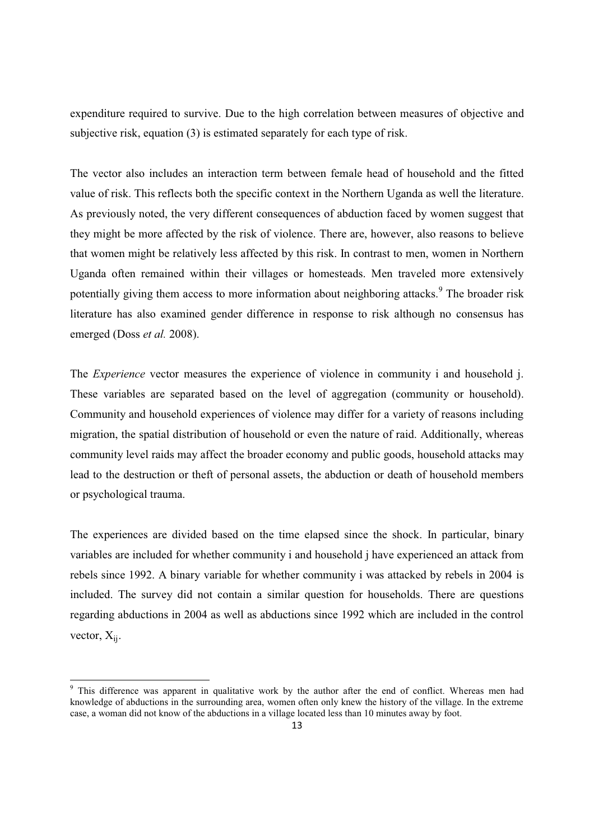expenditure required to survive. Due to the high correlation between measures of objective and subjective risk, equation (3) is estimated separately for each type of risk.

The vector also includes an interaction term between female head of household and the fitted value of risk. This reflects both the specific context in the Northern Uganda as well the literature. As previously noted, the very different consequences of abduction faced by women suggest that they might be more affected by the risk of violence. There are, however, also reasons to believe that women might be relatively less affected by this risk. In contrast to men, women in Northern Uganda often remained within their villages or homesteads. Men traveled more extensively potentially giving them access to more information about neighboring attacks.<sup>9</sup> The broader risk literature has also examined gender difference in response to risk although no consensus has emerged (Doss *et al.* 2008).

The *Experience* vector measures the experience of violence in community i and household j. These variables are separated based on the level of aggregation (community or household). Community and household experiences of violence may differ for a variety of reasons including migration, the spatial distribution of household or even the nature of raid. Additionally, whereas community level raids may affect the broader economy and public goods, household attacks may lead to the destruction or theft of personal assets, the abduction or death of household members or psychological trauma.

The experiences are divided based on the time elapsed since the shock. In particular, binary variables are included for whether community i and household j have experienced an attack from rebels since 1992. A binary variable for whether community i was attacked by rebels in 2004 is included. The survey did not contain a similar question for households. There are questions regarding abductions in 2004 as well as abductions since 1992 which are included in the control vector,  $X_{ii}$ .

<sup>&</sup>lt;sup>9</sup> This difference was apparent in qualitative work by the author after the end of conflict. Whereas men had knowledge of abductions in the surrounding area, women often only knew the history of the village. In the extreme case, a woman did not know of the abductions in a village located less than 10 minutes away by foot.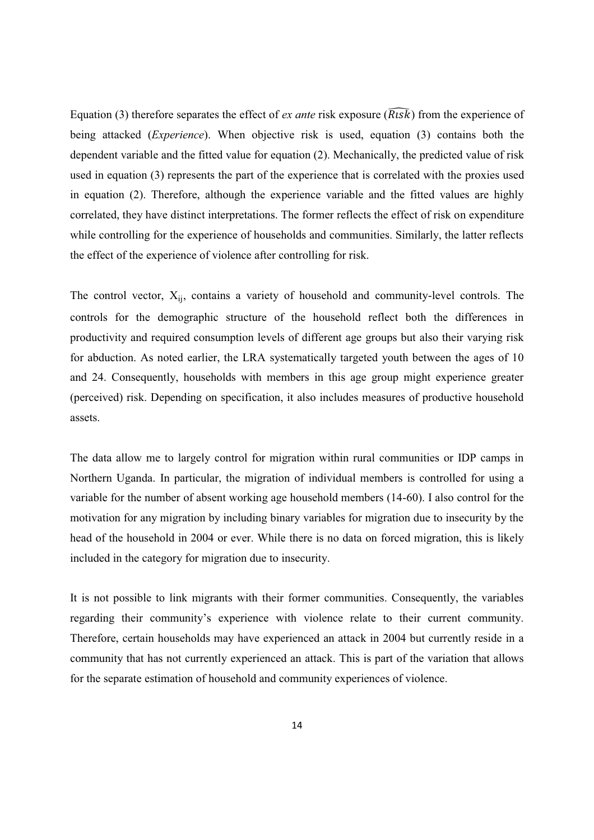Equation (3) therefore separates the effect of *ex ante* risk exposure  $(\widehat{R_{l}sk})$  from the experience of being attacked (*Experience*). When objective risk is used, equation (3) contains both the dependent variable and the fitted value for equation (2). Mechanically, the predicted value of risk used in equation (3) represents the part of the experience that is correlated with the proxies used in equation (2). Therefore, although the experience variable and the fitted values are highly correlated, they have distinct interpretations. The former reflects the effect of risk on expenditure while controlling for the experience of households and communities. Similarly, the latter reflects the effect of the experience of violence after controlling for risk.

The control vector,  $X_{ii}$ , contains a variety of household and community-level controls. The controls for the demographic structure of the household reflect both the differences in productivity and required consumption levels of different age groups but also their varying risk for abduction. As noted earlier, the LRA systematically targeted youth between the ages of 10 and 24. Consequently, households with members in this age group might experience greater (perceived) risk. Depending on specification, it also includes measures of productive household assets.

The data allow me to largely control for migration within rural communities or IDP camps in Northern Uganda. In particular, the migration of individual members is controlled for using a variable for the number of absent working age household members (14-60). I also control for the motivation for any migration by including binary variables for migration due to insecurity by the head of the household in 2004 or ever. While there is no data on forced migration, this is likely included in the category for migration due to insecurity.

It is not possible to link migrants with their former communities. Consequently, the variables regarding their community's experience with violence relate to their current community. Therefore, certain households may have experienced an attack in 2004 but currently reside in a community that has not currently experienced an attack. This is part of the variation that allows for the separate estimation of household and community experiences of violence.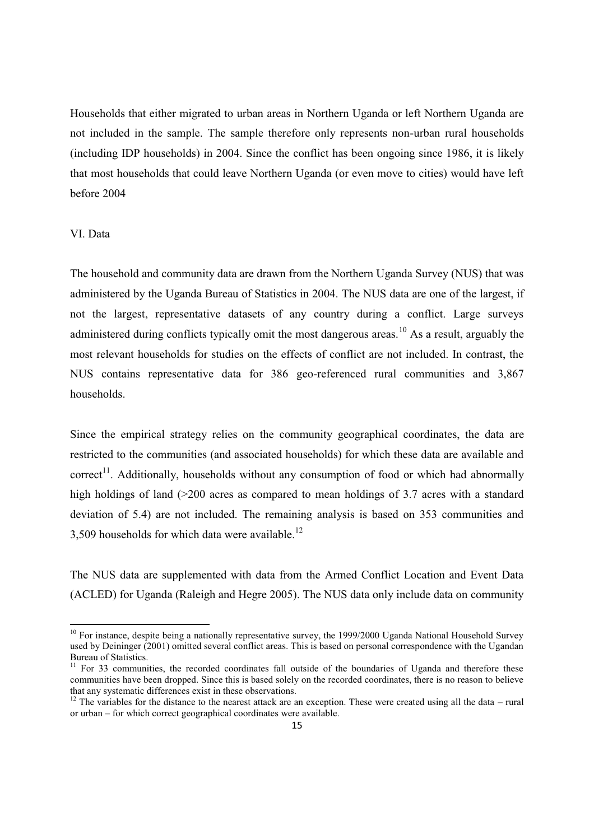Households that either migrated to urban areas in Northern Uganda or left Northern Uganda are not included in the sample. The sample therefore only represents non-urban rural households (including IDP households) in 2004. Since the conflict has been ongoing since 1986, it is likely that most households that could leave Northern Uganda (or even move to cities) would have left before 2004

## VI. Data

 $\overline{a}$ 

The household and community data are drawn from the Northern Uganda Survey (NUS) that was administered by the Uganda Bureau of Statistics in 2004. The NUS data are one of the largest, if not the largest, representative datasets of any country during a conflict. Large surveys administered during conflicts typically omit the most dangerous areas.<sup>10</sup> As a result, arguably the most relevant households for studies on the effects of conflict are not included. In contrast, the NUS contains representative data for 386 geo-referenced rural communities and 3,867 households.

Since the empirical strategy relies on the community geographical coordinates, the data are restricted to the communities (and associated households) for which these data are available and correct<sup>11</sup>. Additionally, households without any consumption of food or which had abnormally high holdings of land (>200 acres as compared to mean holdings of 3.7 acres with a standard deviation of 5.4) are not included. The remaining analysis is based on 353 communities and 3,509 households for which data were available.<sup>12</sup>

The NUS data are supplemented with data from the Armed Conflict Location and Event Data (ACLED) for Uganda (Raleigh and Hegre 2005). The NUS data only include data on community

 $10$  For instance, despite being a nationally representative survey, the 1999/2000 Uganda National Household Survey used by Deininger (2001) omitted several conflict areas. This is based on personal correspondence with the Ugandan Bureau of Statistics.

<sup>&</sup>lt;sup>11</sup> For 33 communities, the recorded coordinates fall outside of the boundaries of Uganda and therefore these communities have been dropped. Since this is based solely on the recorded coordinates, there is no reason to believe that any systematic differences exist in these observations.

 $12$  The variables for the distance to the nearest attack are an exception. These were created using all the data – rural or urban - for which correct geographical coordinates were available.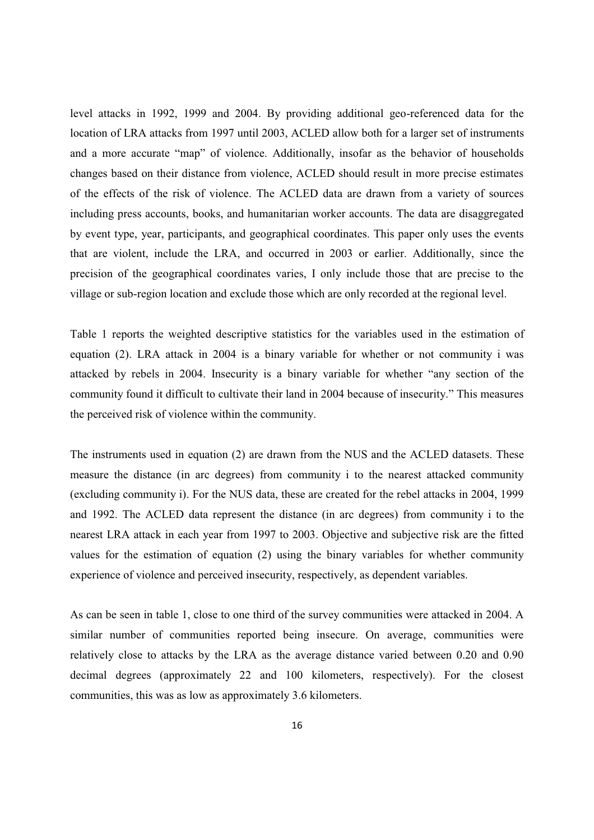level attacks in 1992, 1999 and 2004. By providing additional geo-referenced data for the location of LRA attacks from 1997 until 2003, ACLED allow both for a larger set of instruments and a more accurate "map" of violence. Additionally, insofar as the behavior of households changes based on their distance from violence, ACLED should result in more precise estimates of the effects of the risk of violence. The ACLED data are drawn from a variety of sources including press accounts, books, and humanitarian worker accounts. The data are disaggregated by event type, year, participants, and geographical coordinates. This paper only uses the events that are violent, include the LRA, and occurred in 2003 or earlier. Additionally, since the precision of the geographical coordinates varies, I only include those that are precise to the village or sub-region location and exclude those which are only recorded at the regional level.

Table 1 reports the weighted descriptive statistics for the variables used in the estimation of equation (2). LRA attack in 2004 is a binary variable for whether or not community i was attacked by rebels in 2004. Insecurity is a binary variable for whether "any section of the community found it difficult to cultivate their land in 2004 because of insecurity." This measures the perceived risk of violence within the community.

The instruments used in equation (2) are drawn from the NUS and the ACLED datasets. These measure the distance (in arc degrees) from community i to the nearest attacked community (excluding community i). For the NUS data, these are created for the rebel attacks in 2004, 1999 and 1992. The ACLED data represent the distance (in arc degrees) from community i to the nearest LRA attack in each year from 1997 to 2003. Objective and subjective risk are the fitted values for the estimation of equation (2) using the binary variables for whether community experience of violence and perceived insecurity, respectively, as dependent variables.

As can be seen in table 1, close to one third of the survey communities were attacked in 2004. A similar number of communities reported being insecure. On average, communities were relatively close to attacks by the LRA as the average distance varied between 0.20 and 0.90 decimal degrees (approximately 22 and 100 kilometers, respectively). For the closest communities, this was as low as approximately 3.6 kilometers.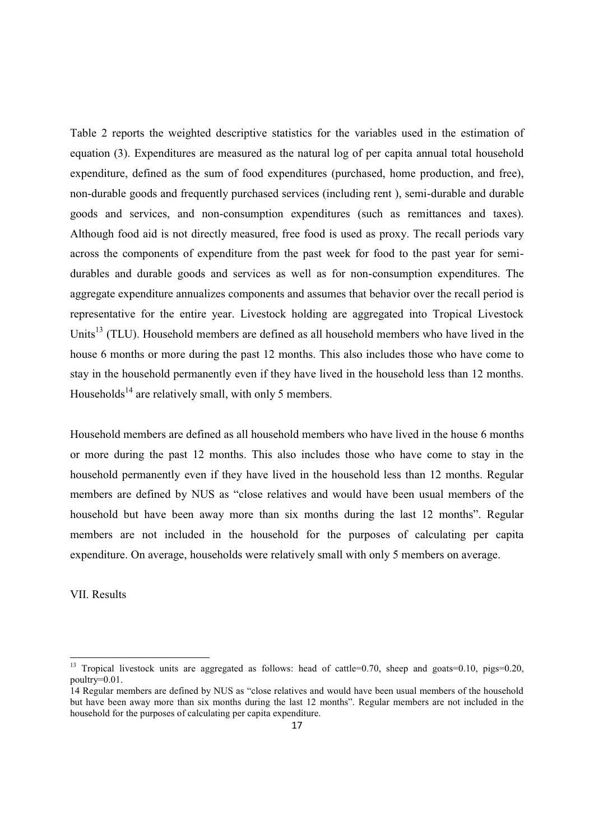Table 2 reports the weighted descriptive statistics for the variables used in the estimation of equation (3). Expenditures are measured as the natural log of per capita annual total household expenditure, defined as the sum of food expenditures (purchased, home production, and free), non-durable goods and frequently purchased services (including rent ), semi-durable and durable goods and services, and non-consumption expenditures (such as remittances and taxes). Although food aid is not directly measured, free food is used as proxy. The recall periods vary across the components of expenditure from the past week for food to the past year for semidurables and durable goods and services as well as for non-consumption expenditures. The aggregate expenditure annualizes components and assumes that behavior over the recall period is representative for the entire year. Livestock holding are aggregated into Tropical Livestock Units<sup>13</sup> (TLU). Household members are defined as all household members who have lived in the house 6 months or more during the past 12 months. This also includes those who have come to stay in the household permanently even if they have lived in the household less than 12 months. Households<sup>14</sup> are relatively small, with only 5 members.

Household members are defined as all household members who have lived in the house 6 months or more during the past 12 months. This also includes those who have come to stay in the household permanently even if they have lived in the household less than 12 months. Regular members are defined by NUS as "close relatives and would have been usual members of the household but have been away more than six months during the last 12 months". Regular members are not included in the household for the purposes of calculating per capita expenditure. On average, households were relatively small with only 5 members on average.

VII. Results

<sup>&</sup>lt;sup>13</sup> Tropical livestock units are aggregated as follows: head of cattle=0.70, sheep and goats=0.10, pigs=0.20, poultry=0.01.

<sup>14</sup> Regular members are defined by NUS as "close relatives and would have been usual members of the household but have been away more than six months during the last 12 months". Regular members are not included in the household for the purposes of calculating per capita expenditure.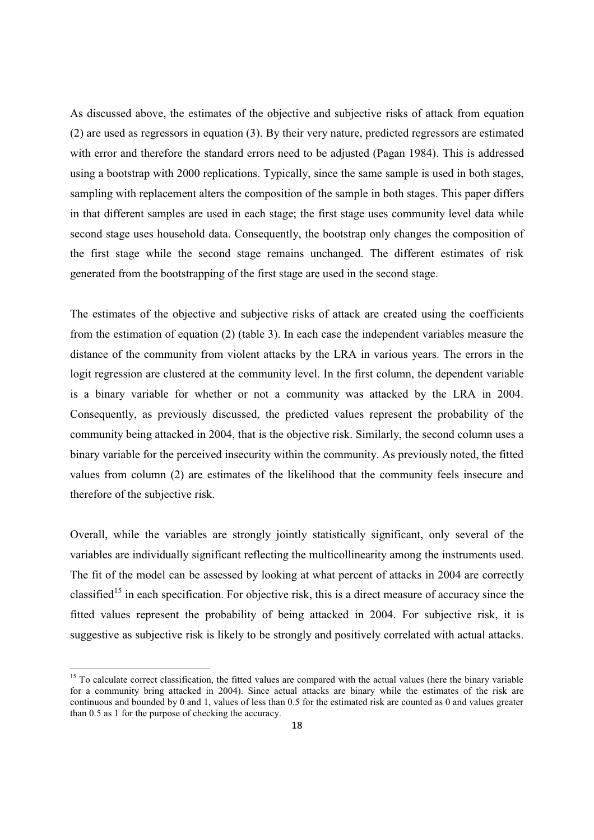As discussed above, the estimates of the objective and subjective risks of attack from equation (2) are used as regressors in equation (3). By their very nature, predicted regressors are estimated with error and therefore the standard errors need to be adjusted (Pagan 1984). This is addressed using a bootstrap with 2000 replications. Typically, since the same sample is used in both stages, sampling with replacement alters the composition of the sample in both stages. This paper differs in that different samples are used in each stage; the first stage uses community level data while second stage uses household data. Consequently, the bootstrap only changes the composition of the first stage while the second stage remains unchanged. The different estimates of risk generated from the bootstrapping of the first stage are used in the second stage.

The estimates of the objective and subjective risks of attack are created using the coefficients from the estimation of equation (2) (table 3). In each case the independent variables measure the distance of the community from violent attacks by the LRA in various years. The errors in the logit regression are clustered at the community level. In the first column, the dependent variable is a binary variable for whether or not a community was attacked by the LRA in 2004. Consequently, as previously discussed, the predicted values represent the probability of the community being attacked in 2004, that is the objective risk. Similarly, the second column uses a binary variable for the perceived insecurity within the community. As previously noted, the fitted values from column (2) are estimates of the likelihood that the community feels insecure and therefore of the subjective risk.

Overall, while the variables are strongly jointly statistically significant, only several of the variables are individually significant reflecting the multicollinearity among the instruments used. The fit of the model can be assessed by looking at what percent of attacks in 2004 are correctly classified<sup>15</sup> in each specification. For objective risk, this is a direct measure of accuracy since the fitted values represent the probability of being attacked in 2004. For subjective risk, it is suggestive as subjective risk is likely to be strongly and positively correlated with actual attacks.

<sup>&</sup>lt;sup>15</sup> To calculate correct classification, the fitted values are compared with the actual values (here the binary variable for a community bring attacked in 2004). Since actual attacks are binary while the estimates of the risk are continuous and bounded by 0 and 1, values of less than 0.5 for the estimated risk are counted as 0 and values greater than 0.5 as 1 for the purpose of checking the accuracy.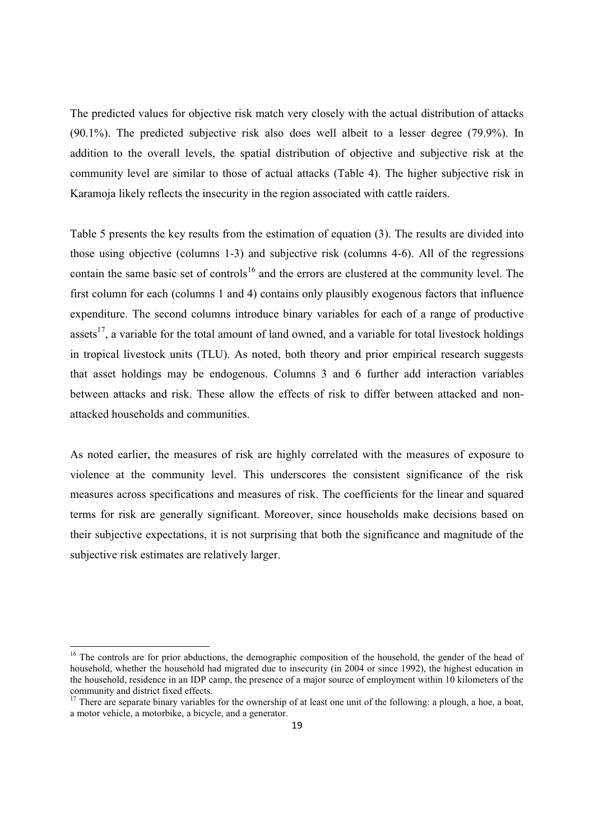The predicted values for objective risk match very closely with the actual distribution of attacks (90.1%). The predicted subjective risk also does well albeit to a lesser degree (79.9%). In addition to the overall levels, the spatial distribution of objective and subjective risk at the community level are similar to those of actual attacks (Table 4). The higher subjective risk in Karamoja likely reflects the insecurity in the region associated with cattle raiders.

Table 5 presents the key results from the estimation of equation (3). The results are divided into those using objective (columns 1-3) and subjective risk (columns 4-6). All of the regressions contain the same basic set of controls<sup>16</sup> and the errors are clustered at the community level. The first column for each (columns 1 and 4) contains only plausibly exogenous factors that influence expenditure. The second columns introduce binary variables for each of a range of productive assets<sup>17</sup>, a variable for the total amount of land owned, and a variable for total livestock holdings in tropical livestock units (TLU). As noted, both theory and prior empirical research suggests that asset holdings may be endogenous. Columns 3 and 6 further add interaction variables between attacks and risk. These allow the effects of risk to differ between attacked and nonattacked households and communities.

As noted earlier, the measures of risk are highly correlated with the measures of exposure to violence at the community level. This underscores the consistent significance of the risk measures across specifications and measures of risk. The coefficients for the linear and squared terms for risk are generally significant. Moreover, since households make decisions based on their subjective expectations, it is not surprising that both the significance and magnitude of the subjective risk estimates are relatively larger.

<sup>&</sup>lt;sup>16</sup> The controls are for prior abductions, the demographic composition of the household, the gender of the head of household, whether the household had migrated due to insecurity (in 2004 or since 1992), the highest education in the household, residence in an IDP camp, the presence of a major source of employment within 10 kilometers of the community and district fixed effects.

 $17$  There are separate binary variables for the ownership of at least one unit of the following: a plough, a hoe, a boat, a motor vehicle, a motorbike, a bicycle, and a generator.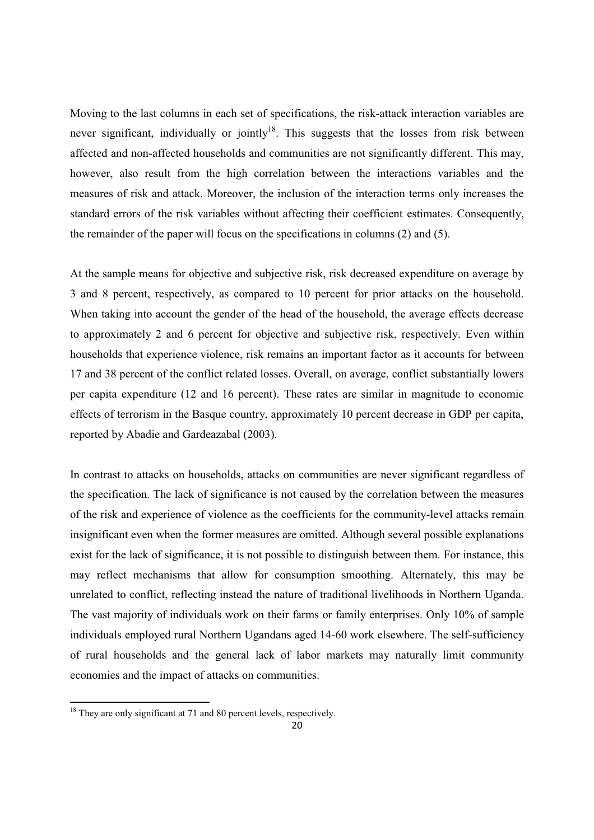Moving to the last columns in each set of specifications, the risk-attack interaction variables are never significant, individually or jointly<sup>18</sup>. This suggests that the losses from risk between affected and non-affected households and communities are not significantly different. This may, however, also result from the high correlation between the interactions variables and the measures of risk and attack. Moreover, the inclusion of the interaction terms only increases the standard errors of the risk variables without affecting their coefficient estimates. Consequently, the remainder of the paper will focus on the specifications in columns (2) and (5).

At the sample means for objective and subjective risk, risk decreased expenditure on average by 3 and 8 percent, respectively, as compared to 10 percent for prior attacks on the household. When taking into account the gender of the head of the household, the average effects decrease to approximately 2 and 6 percent for objective and subjective risk, respectively. Even within households that experience violence, risk remains an important factor as it accounts for between 17 and 38 percent of the conflict related losses. Overall, on average, conflict substantially lowers per capita expenditure (12 and 16 percent). These rates are similar in magnitude to economic effects of terrorism in the Basque country, approximately 10 percent decrease in GDP per capita, reported by Abadie and Gardeazabal (2003).

In contrast to attacks on households, attacks on communities are never significant regardless of the specification. The lack of significance is not caused by the correlation between the measures of the risk and experience of violence as the coefficients for the community-level attacks remain insignificant even when the former measures are omitted. Although several possible explanations exist for the lack of significance, it is not possible to distinguish between them. For instance, this may reflect mechanisms that allow for consumption smoothing. Alternately, this may be unrelated to conflict, reflecting instead the nature of traditional livelihoods in Northern Uganda. The vast majority of individuals work on their farms or family enterprises. Only 10% of sample individuals employed rural Northern Ugandans aged 14-60 work elsewhere. The self-sufficiency of rural households and the general lack of labor markets may naturally limit community economies and the impact of attacks on communities.

<sup>&</sup>lt;sup>18</sup> They are only significant at 71 and 80 percent levels, respectively.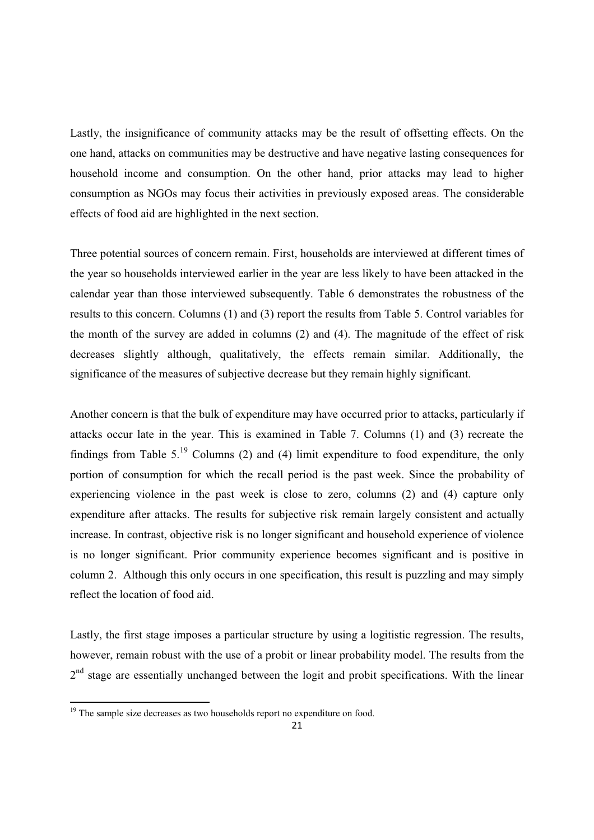Lastly, the insignificance of community attacks may be the result of offsetting effects. On the one hand, attacks on communities may be destructive and have negative lasting consequences for household income and consumption. On the other hand, prior attacks may lead to higher consumption as NGOs may focus their activities in previously exposed areas. The considerable effects of food aid are highlighted in the next section.

Three potential sources of concern remain. First, households are interviewed at different times of the year so households interviewed earlier in the year are less likely to have been attacked in the calendar year than those interviewed subsequently. Table 6 demonstrates the robustness of the results to this concern. Columns (1) and (3) report the results from Table 5. Control variables for the month of the survey are added in columns (2) and (4). The magnitude of the effect of risk decreases slightly although, qualitatively, the effects remain similar. Additionally, the significance of the measures of subjective decrease but they remain highly significant.

Another concern is that the bulk of expenditure may have occurred prior to attacks, particularly if attacks occur late in the year. This is examined in Table 7. Columns (1) and (3) recreate the findings from Table  $5<sup>19</sup>$  Columns (2) and (4) limit expenditure to food expenditure, the only portion of consumption for which the recall period is the past week. Since the probability of experiencing violence in the past week is close to zero, columns (2) and (4) capture only expenditure after attacks. The results for subjective risk remain largely consistent and actually increase. In contrast, objective risk is no longer significant and household experience of violence is no longer significant. Prior community experience becomes significant and is positive in column 2. Although this only occurs in one specification, this result is puzzling and may simply reflect the location of food aid.

Lastly, the first stage imposes a particular structure by using a logitistic regression. The results, however, remain robust with the use of a probit or linear probability model. The results from the  $2<sup>nd</sup>$  stage are essentially unchanged between the logit and probit specifications. With the linear

<sup>&</sup>lt;sup>19</sup> The sample size decreases as two households report no expenditure on food.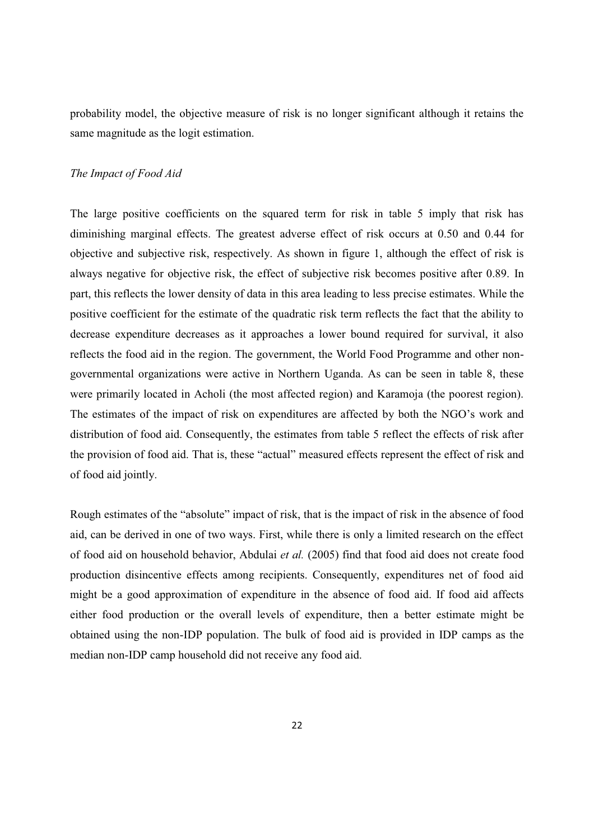probability model, the objective measure of risk is no longer significant although it retains the same magnitude as the logit estimation.

### *The Impact of Food Aid*

The large positive coefficients on the squared term for risk in table 5 imply that risk has diminishing marginal effects. The greatest adverse effect of risk occurs at 0.50 and 0.44 for objective and subjective risk, respectively. As shown in figure 1, although the effect of risk is always negative for objective risk, the effect of subjective risk becomes positive after 0.89. In part, this reflects the lower density of data in this area leading to less precise estimates. While the positive coefficient for the estimate of the quadratic risk term reflects the fact that the ability to decrease expenditure decreases as it approaches a lower bound required for survival, it also reflects the food aid in the region. The government, the World Food Programme and other nongovernmental organizations were active in Northern Uganda. As can be seen in table 8, these were primarily located in Acholi (the most affected region) and Karamoja (the poorest region). The estimates of the impact of risk on expenditures are affected by both the NGO's work and distribution of food aid. Consequently, the estimates from table 5 reflect the effects of risk after the provision of food aid. That is, these "actual" measured effects represent the effect of risk and of food aid jointly.

Rough estimates of the "absolute" impact of risk, that is the impact of risk in the absence of food aid, can be derived in one of two ways. First, while there is only a limited research on the effect of food aid on household behavior, Abdulai *et al.* (2005) find that food aid does not create food production disincentive effects among recipients. Consequently, expenditures net of food aid might be a good approximation of expenditure in the absence of food aid. If food aid affects either food production or the overall levels of expenditure, then a better estimate might be obtained using the non-IDP population. The bulk of food aid is provided in IDP camps as the median non-IDP camp household did not receive any food aid.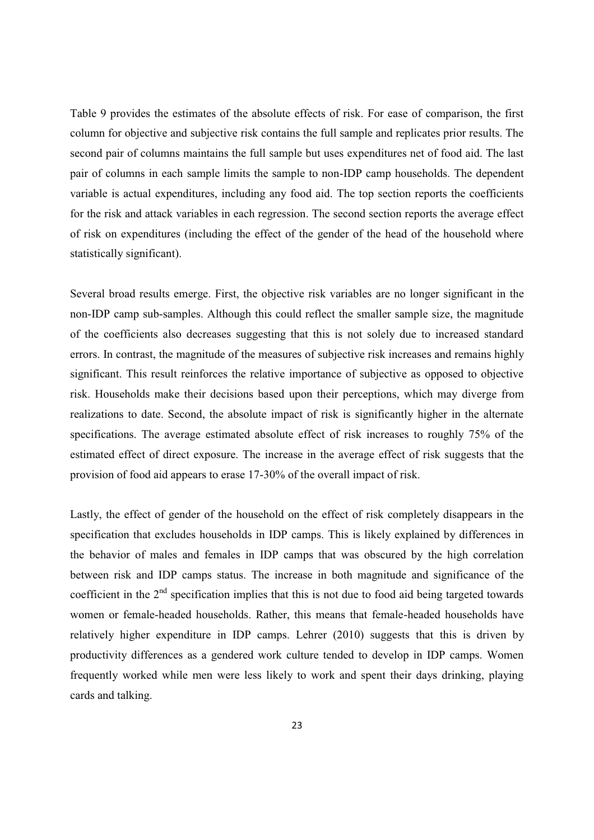Table 9 provides the estimates of the absolute effects of risk. For ease of comparison, the first column for objective and subjective risk contains the full sample and replicates prior results. The second pair of columns maintains the full sample but uses expenditures net of food aid. The last pair of columns in each sample limits the sample to non-IDP camp households. The dependent variable is actual expenditures, including any food aid. The top section reports the coefficients for the risk and attack variables in each regression. The second section reports the average effect of risk on expenditures (including the effect of the gender of the head of the household where statistically significant).

Several broad results emerge. First, the objective risk variables are no longer significant in the non-IDP camp sub-samples. Although this could reflect the smaller sample size, the magnitude of the coefficients also decreases suggesting that this is not solely due to increased standard errors. In contrast, the magnitude of the measures of subjective risk increases and remains highly significant. This result reinforces the relative importance of subjective as opposed to objective risk. Households make their decisions based upon their perceptions, which may diverge from realizations to date. Second, the absolute impact of risk is significantly higher in the alternate specifications. The average estimated absolute effect of risk increases to roughly 75% of the estimated effect of direct exposure. The increase in the average effect of risk suggests that the provision of food aid appears to erase 17-30% of the overall impact of risk.

Lastly, the effect of gender of the household on the effect of risk completely disappears in the specification that excludes households in IDP camps. This is likely explained by differences in the behavior of males and females in IDP camps that was obscured by the high correlation between risk and IDP camps status. The increase in both magnitude and significance of the coefficient in the  $2<sup>nd</sup>$  specification implies that this is not due to food aid being targeted towards women or female-headed households. Rather, this means that female-headed households have relatively higher expenditure in IDP camps. Lehrer (2010) suggests that this is driven by productivity differences as a gendered work culture tended to develop in IDP camps. Women frequently worked while men were less likely to work and spent their days drinking, playing cards and talking.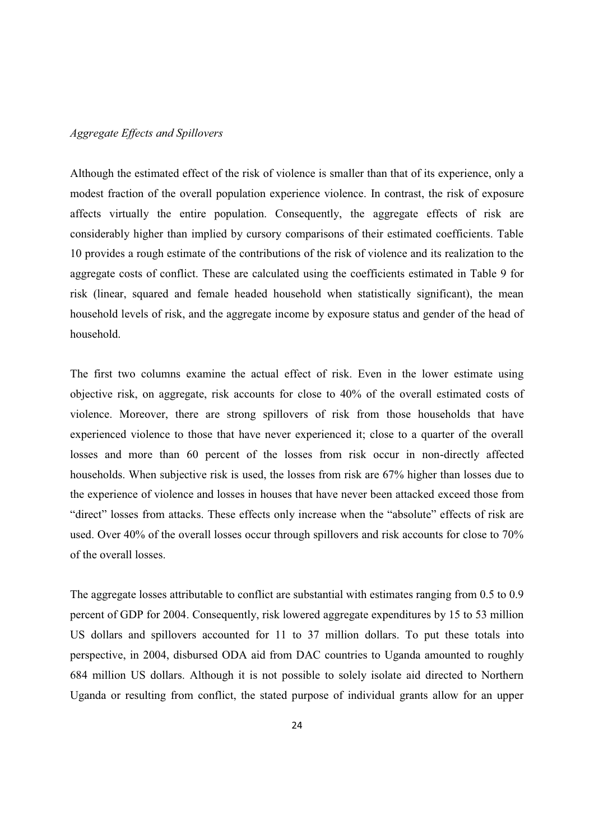#### *Aggregate Effects and Spillovers*

Although the estimated effect of the risk of violence is smaller than that of its experience, only a modest fraction of the overall population experience violence. In contrast, the risk of exposure affects virtually the entire population. Consequently, the aggregate effects of risk are considerably higher than implied by cursory comparisons of their estimated coefficients. Table 10 provides a rough estimate of the contributions of the risk of violence and its realization to the aggregate costs of conflict. These are calculated using the coefficients estimated in Table 9 for risk (linear, squared and female headed household when statistically significant), the mean household levels of risk, and the aggregate income by exposure status and gender of the head of household.

The first two columns examine the actual effect of risk. Even in the lower estimate using objective risk, on aggregate, risk accounts for close to 40% of the overall estimated costs of violence. Moreover, there are strong spillovers of risk from those households that have experienced violence to those that have never experienced it; close to a quarter of the overall losses and more than 60 percent of the losses from risk occur in non-directly affected households. When subjective risk is used, the losses from risk are 67% higher than losses due to the experience of violence and losses in houses that have never been attacked exceed those from "direct" losses from attacks. These effects only increase when the "absolute" effects of risk are used. Over 40% of the overall losses occur through spillovers and risk accounts for close to 70% of the overall losses.

The aggregate losses attributable to conflict are substantial with estimates ranging from 0.5 to 0.9 percent of GDP for 2004. Consequently, risk lowered aggregate expenditures by 15 to 53 million US dollars and spillovers accounted for 11 to 37 million dollars. To put these totals into perspective, in 2004, disbursed ODA aid from DAC countries to Uganda amounted to roughly 684 million US dollars. Although it is not possible to solely isolate aid directed to Northern Uganda or resulting from conflict, the stated purpose of individual grants allow for an upper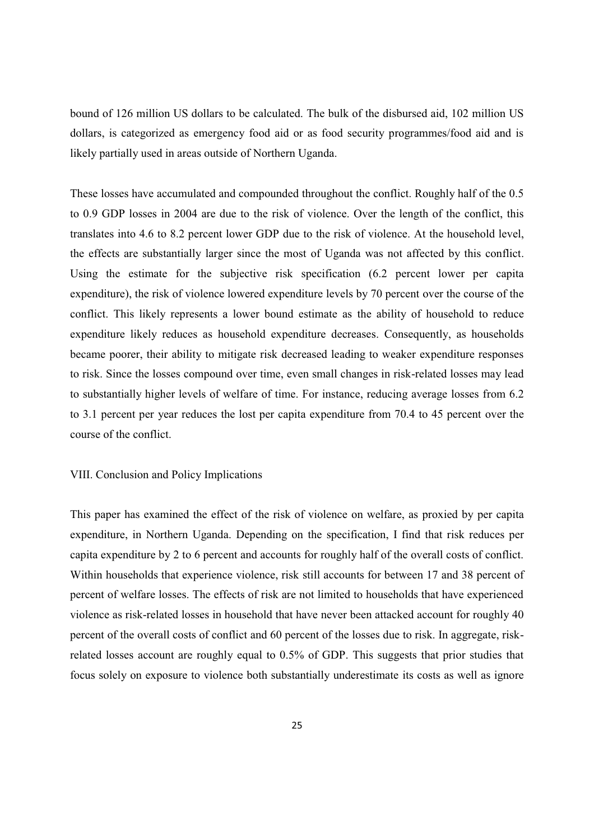bound of 126 million US dollars to be calculated. The bulk of the disbursed aid, 102 million US dollars, is categorized as emergency food aid or as food security programmes/food aid and is likely partially used in areas outside of Northern Uganda.

These losses have accumulated and compounded throughout the conflict. Roughly half of the 0.5 to 0.9 GDP losses in 2004 are due to the risk of violence. Over the length of the conflict, this translates into 4.6 to 8.2 percent lower GDP due to the risk of violence. At the household level, the effects are substantially larger since the most of Uganda was not affected by this conflict. Using the estimate for the subjective risk specification (6.2 percent lower per capita expenditure), the risk of violence lowered expenditure levels by 70 percent over the course of the conflict. This likely represents a lower bound estimate as the ability of household to reduce expenditure likely reduces as household expenditure decreases. Consequently, as households became poorer, their ability to mitigate risk decreased leading to weaker expenditure responses to risk. Since the losses compound over time, even small changes in risk-related losses may lead to substantially higher levels of welfare of time. For instance, reducing average losses from 6.2 to 3.1 percent per year reduces the lost per capita expenditure from 70.4 to 45 percent over the course of the conflict.

## VIII. Conclusion and Policy Implications

This paper has examined the effect of the risk of violence on welfare, as proxied by per capita expenditure, in Northern Uganda. Depending on the specification, I find that risk reduces per capita expenditure by 2 to 6 percent and accounts for roughly half of the overall costs of conflict. Within households that experience violence, risk still accounts for between 17 and 38 percent of percent of welfare losses. The effects of risk are not limited to households that have experienced violence as risk-related losses in household that have never been attacked account for roughly 40 percent of the overall costs of conflict and 60 percent of the losses due to risk. In aggregate, riskrelated losses account are roughly equal to 0.5% of GDP. This suggests that prior studies that focus solely on exposure to violence both substantially underestimate its costs as well as ignore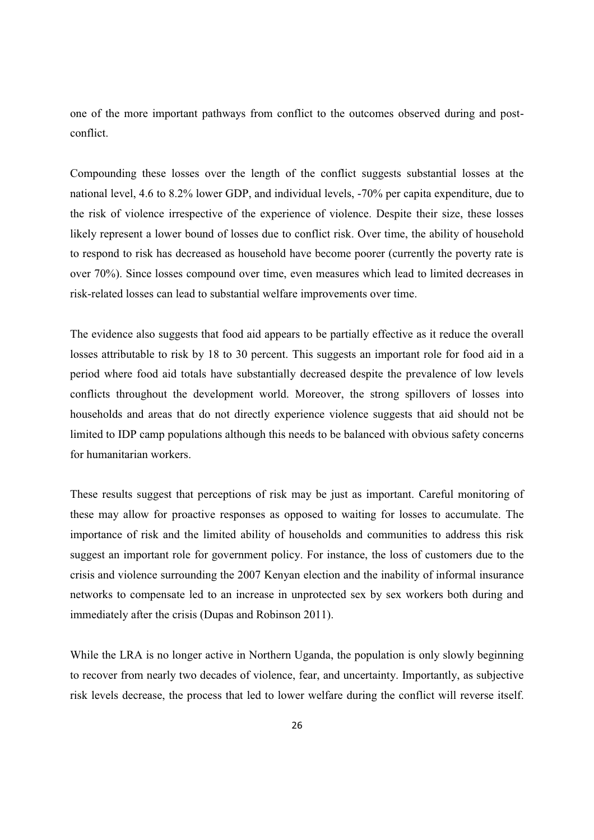one of the more important pathways from conflict to the outcomes observed during and postconflict.

Compounding these losses over the length of the conflict suggests substantial losses at the national level, 4.6 to 8.2% lower GDP, and individual levels, -70% per capita expenditure, due to the risk of violence irrespective of the experience of violence. Despite their size, these losses likely represent a lower bound of losses due to conflict risk. Over time, the ability of household to respond to risk has decreased as household have become poorer (currently the poverty rate is over 70%). Since losses compound over time, even measures which lead to limited decreases in risk-related losses can lead to substantial welfare improvements over time.

The evidence also suggests that food aid appears to be partially effective as it reduce the overall losses attributable to risk by 18 to 30 percent. This suggests an important role for food aid in a period where food aid totals have substantially decreased despite the prevalence of low levels conflicts throughout the development world. Moreover, the strong spillovers of losses into households and areas that do not directly experience violence suggests that aid should not be limited to IDP camp populations although this needs to be balanced with obvious safety concerns for humanitarian workers.

These results suggest that perceptions of risk may be just as important. Careful monitoring of these may allow for proactive responses as opposed to waiting for losses to accumulate. The importance of risk and the limited ability of households and communities to address this risk suggest an important role for government policy. For instance, the loss of customers due to the crisis and violence surrounding the 2007 Kenyan election and the inability of informal insurance networks to compensate led to an increase in unprotected sex by sex workers both during and immediately after the crisis (Dupas and Robinson 2011).

While the LRA is no longer active in Northern Uganda, the population is only slowly beginning to recover from nearly two decades of violence, fear, and uncertainty. Importantly, as subjective risk levels decrease, the process that led to lower welfare during the conflict will reverse itself.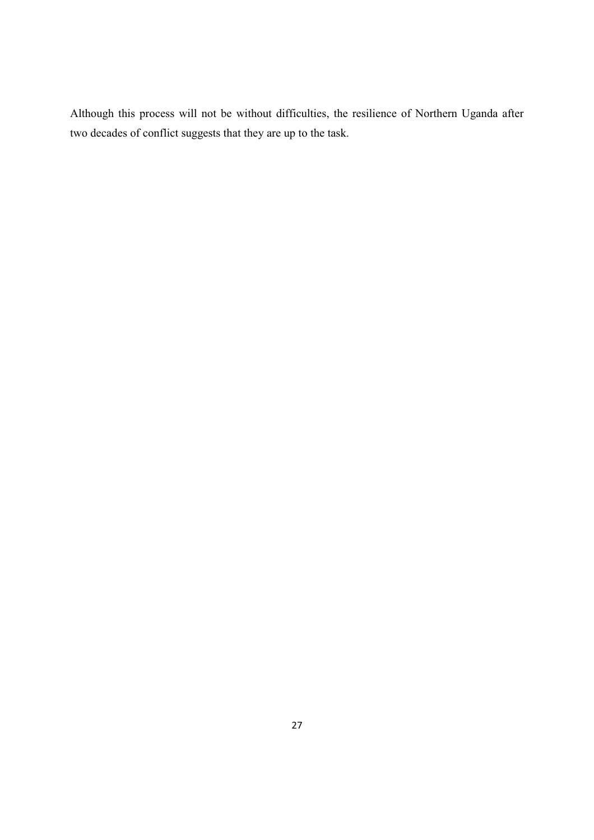Although this process will not be without difficulties, the resilience of Northern Uganda after two decades of conflict suggests that they are up to the task.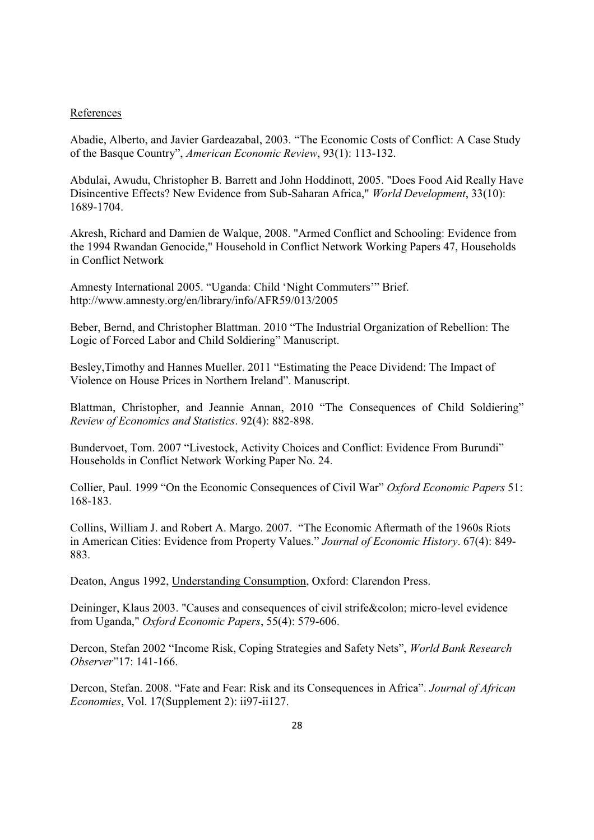#### References

Abadie, Alberto, and Javier Gardeazabal, 2003. "The Economic Costs of Conflict: A Case Study of the Basque Country", *American Economic Review*, 93(1): 113-132.

Abdulai, Awudu, Christopher B. Barrett and John Hoddinott, 2005. "Does Food Aid Really Have Disincentive Effects? New Evidence from Sub-Saharan Africa," *World Development*, 33(10): 1689-1704.

Akresh, Richard and Damien de Walque, 2008. "Armed Conflict and Schooling: Evidence from the 1994 Rwandan Genocide," Household in Conflict Network Working Papers 47, Households in Conflict Network

Amnesty International 2005. "Uganda: Child 'Night Commuters'" Brief. http://www.amnesty.org/en/library/info/AFR59/013/2005

Beber, Bernd, and Christopher Blattman. 2010 "The Industrial Organization of Rebellion: The Logic of Forced Labor and Child Soldiering" Manuscript.

Besley, Timothy and Hannes Mueller, 2011 "Estimating the Peace Dividend: The Impact of Violence on House Prices in Northern Ireland". Manuscript.

Blattman, Christopher, and Jeannie Annan, 2010 "The Consequences of Child Soldiering" *Review of Economics and Statistics*. 92(4): 882-898.

Bundervoet, Tom. 2007 "Livestock, Activity Choices and Conflict: Evidence From Burundi" Households in Conflict Network Working Paper No. 24.

Collier, Paul. 1999 "On the Economic Consequences of Civil War" *Oxford Economic Papers* 51: 168-183.

Collins, William J. and Robert A. Margo. 2007. "The Economic Aftermath of the 1960s Riots in American Cities: Evidence from Property Values.´*Journal of Economic History*. 67(4): 849- 883.

Deaton, Angus 1992, Understanding Consumption, Oxford: Clarendon Press.

Deininger, Klaus 2003. "Causes and consequences of civil strife: micro-level evidence from Uganda," *Oxford Economic Papers*, 55(4): 579-606.

Dercon, Stefan 2002 "Income Risk, Coping Strategies and Safety Nets", World Bank Research *Observer*"17: 141-166.

Dercon, Stefan. 2008. "Fate and Fear: Risk and its Consequences in Africa". Journal of African *Economies*, Vol. 17(Supplement 2): ii97-ii127.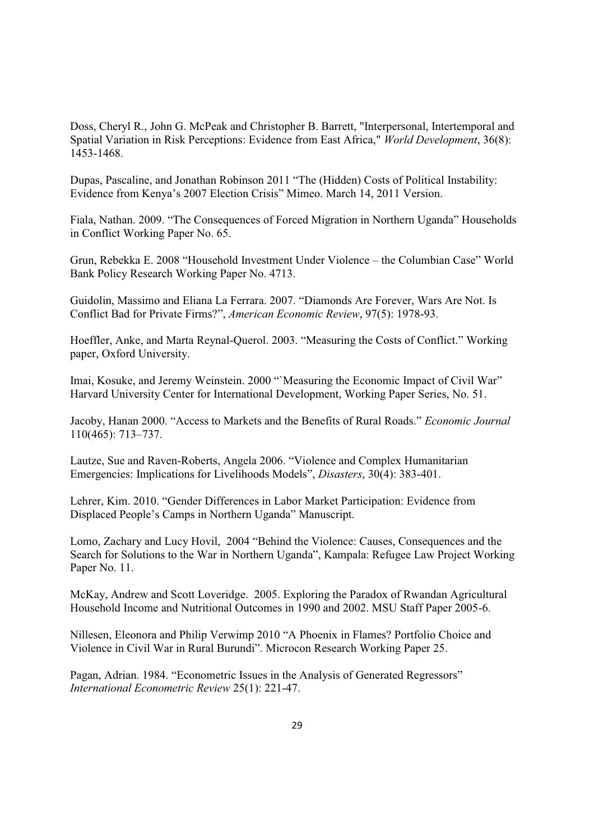Doss, Cheryl R., John G. McPeak and Christopher B. Barrett, "Interpersonal, Intertemporal and Spatial Variation in Risk Perceptions: Evidence from East Africa," *World Development*, 36(8): 1453-1468.

Dupas, Pascaline, and Jonathan Robinson 2011 "The (Hidden) Costs of Political Instability: Evidence from Kenya's 2007 Election Crisis" Mimeo. March 14, 2011 Version.

Fiala, Nathan. 2009. "The Consequences of Forced Migration in Northern Uganda" Households in Conflict Working Paper No. 65.

Grun, Rebekka E. 2008 "Household Investment Under Violence – the Columbian Case" World Bank Policy Research Working Paper No. 4713.

Guidolin, Massimo and Eliana La Ferrara. 2007. "Diamonds Are Forever, Wars Are Not. Is Conflict Bad for Private Firms?´*American Economic Review*, 97(5): 1978-93.

Hoeffler, Anke, and Marta Reynal-Querol. 2003. "Measuring the Costs of Conflict." Working paper, Oxford University.

Imai, Kosuke, and Jeremy Weinstein. 2000 "Measuring the Economic Impact of Civil War" Harvard University Center for International Development, Working Paper Series, No. 51.

Jacoby, Hanan 2000. "Access to Markets and the Benefits of Rural Roads." *Economic Journal* 110(465): 713±737.

Lautze, Sue and Raven-Roberts, Angela 2006. "Violence and Complex Humanitarian Emergencies: Implications for Livelihoods Models", *Disasters*, 30(4): 383-401.

Lehrer, Kim. 2010. "Gender Differences in Labor Market Participation: Evidence from Displaced People's Camps in Northern Uganda" Manuscript.

Lomo, Zachary and Lucy Hovil, 2004 "Behind the Violence: Causes, Consequences and the Search for Solutions to the War in Northern Uganda", Kampala: Refugee Law Project Working Paper No. 11.

McKay, Andrew and Scott Loveridge. 2005. Exploring the Paradox of Rwandan Agricultural Household Income and Nutritional Outcomes in 1990 and 2002. MSU Staff Paper 2005-6.

Nillesen, Eleonora and Philip Verwimp 2010 "A Phoenix in Flames? Portfolio Choice and Violence in Civil War in Rural Burundi". Microcon Research Working Paper 25.

Pagan, Adrian, 1984, "Econometric Issues in the Analysis of Generated Regressors" *International Econometric Review* 25(1): 221-47.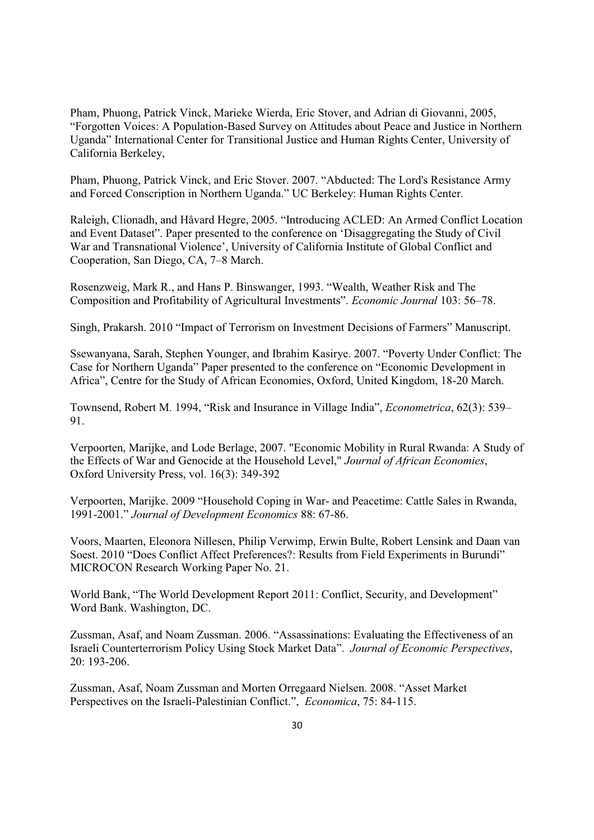Pham, Phuong, Patrick Vinck, Marieke Wierda, Eric Stover, and Adrian di Giovanni, 2005, "Forgotten Voices: A Population-Based Survey on Attitudes about Peace and Justice in Northern Uganda" International Center for Transitional Justice and Human Rights Center, University of California Berkeley,

Pham, Phuong, Patrick Vinck, and Eric Stover. 2007. "Abducted: The Lord's Resistance Army and Forced Conscription in Northern Uganda." UC Berkeley: Human Rights Center.

Raleigh, Clionadh, and Håvard Hegre, 2005. "Introducing ACLED: An Armed Conflict Location and Event Dataset". Paper presented to the conference on 'Disaggregating the Study of Civil War and Transnational Violence', University of California Institute of Global Conflict and Cooperation, San Diego, CA, 7–8 March.

Rosenzweig, Mark R., and Hans P. Binswanger, 1993. "Wealth, Weather Risk and The Composition and Profitability of Agricultural Investments". *Economic Journal* 103: 56–78.

Singh, Prakarsh. 2010 "Impact of Terrorism on Investment Decisions of Farmers" Manuscript.

Ssewanyana, Sarah, Stephen Younger, and Ibrahim Kasirye. 2007. "Poverty Under Conflict: The Case for Northern Uganda" Paper presented to the conference on "Economic Development in Africa", Centre for the Study of African Economies, Oxford, United Kingdom, 18-20 March.

Townsend, Robert M. 1994, "Risk and Insurance in Village India", *Econometrica*, 62(3): 539– 91.

Verpoorten, Marijke, and Lode Berlage, 2007. "Economic Mobility in Rural Rwanda: A Study of the Effects of War and Genocide at the Household Level," *Journal of African Economies*, Oxford University Press, vol. 16(3): 349-392

Verpoorten, Marijke. 2009 "Household Coping in War- and Peacetime: Cattle Sales in Rwanda, 1991-´*Journal of Development Economics* 88: 67-86.

Voors, Maarten, Eleonora Nillesen, Philip Verwimp, Erwin Bulte, Robert Lensink and Daan van Soest. 2010 "Does Conflict Affect Preferences?: Results from Field Experiments in Burundi" MICROCON Research Working Paper No. 21.

World Bank, "The World Development Report 2011: Conflict, Security, and Development" Word Bank. Washington, DC.

Zussman, Asaf, and Noam Zussman. 2006. "Assassinations: Evaluating the Effectiveness of an Israeli Counterterrorism Policy Using Stock Market Data´. *Journal of Economic Perspectives*, 20: 193-206.

Zussman, Asaf, Noam Zussman and Morten Orregaard Nielsen. 2008. "Asset Market Perspectives on the Israeli-Palestinian Conflict.<sup>"</sup>, *Economica*, 75: 84-115.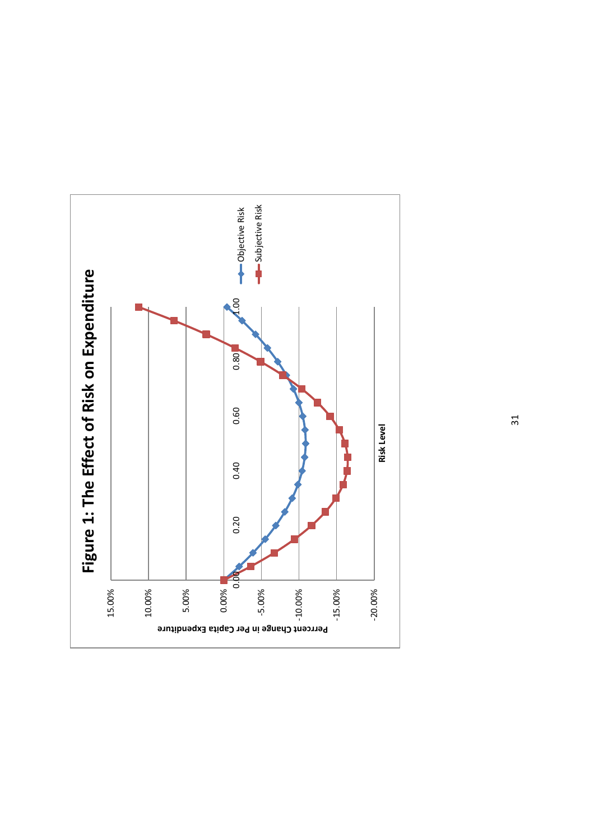

31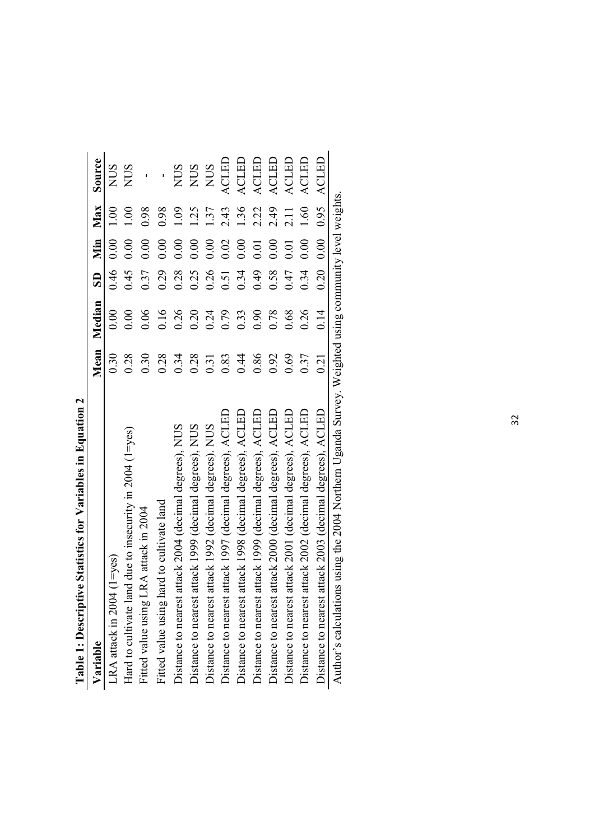| The International Library of Library And International Library of The Internet Internet             |      |             |      |               |            |              |
|-----------------------------------------------------------------------------------------------------|------|-------------|------|---------------|------------|--------------|
| Variable                                                                                            |      | Mean Median |      |               | SD Min Max | Source       |
| $(1 = y \text{es})$<br>LRA attack in 2004                                                           | 0.30 | 0.00        | 0.46 | 0.00          | 1.00       | <b>NUS</b>   |
| Hard to cultivate land due to insecurity in $2004$ (1=yes)                                          | 0.28 | 0.00        | 0.45 | 0.00          | 00.1       | <b>NUS</b>   |
| Fitted value using LRA attack in 2004                                                               | 0.30 | 0.06        | 0.37 | 0.00          | 0.98       |              |
| Fitted value using hard to cultivate land                                                           | 0.28 | 0.16        | 0.29 | 0.00          | 0.98       |              |
| Distance to nearest attack 2004 (decimal degrees), NUS                                              | 0.34 | 0.26        | 0.28 | 0.00          | 00.1       | <b>NUS</b>   |
| Distance to nearest attack 1999 (decimal degrees), NUS                                              | 0.28 | 0.20        | 0.25 | 0.00          | 1.25       | <b>SUN</b>   |
| Distance to nearest attack 1992 (decimal degrees). NUS                                              | 0.31 | 0.24        | 0.26 | 0.00          | 1.37       | <b>NUS</b>   |
| Distance to nearest attack 1997 (decimal degrees), ACLED                                            | 0.83 | 0.79        | 0.51 | 0.02          | 2.43       | ACLED        |
| Distance to nearest attack 1998 (decimal degrees), ACLED                                            | 0.44 | 0.33        | 0.34 | 0.00          | 1.36       | <b>ACLED</b> |
| Distance to nearest attack 1999 (decimal degrees), ACLED                                            | 0.86 | 0.90        | 0.49 | 0.01          | 2.22       | ACLED        |
| Distance to nearest attack 2000 (decimal degrees), ACLED                                            | 0.92 | 0.78        | 0.58 | 0.00          | 2.49       | ACLED        |
| Distance to nearest attack 2001 (decimal degrees), ACLED                                            | 0.69 | 0.68        | 0.47 | 0.01          | 2.11       | <b>ACLED</b> |
| Distance to nearest attack 2002 (decimal degrees), ACLED                                            | 0.37 | 0.26        | 0.34 | 0.00          | 1.60       | ACLED        |
| Distance to nearest attack 2003 (decimal degrees), ACLED                                            | 0.21 | 0.14        |      | $0.20$ $0.00$ | 0.95       | ACLED        |
| Author's calculations using the 2004 Northern Uganda Survey. Weighted using community level weights |      |             |      |               |            |              |

Table 1: Descriptive Statistics for Variables in Equation 2 **Table 1: Descriptive Statistics for Variables in Equation 2**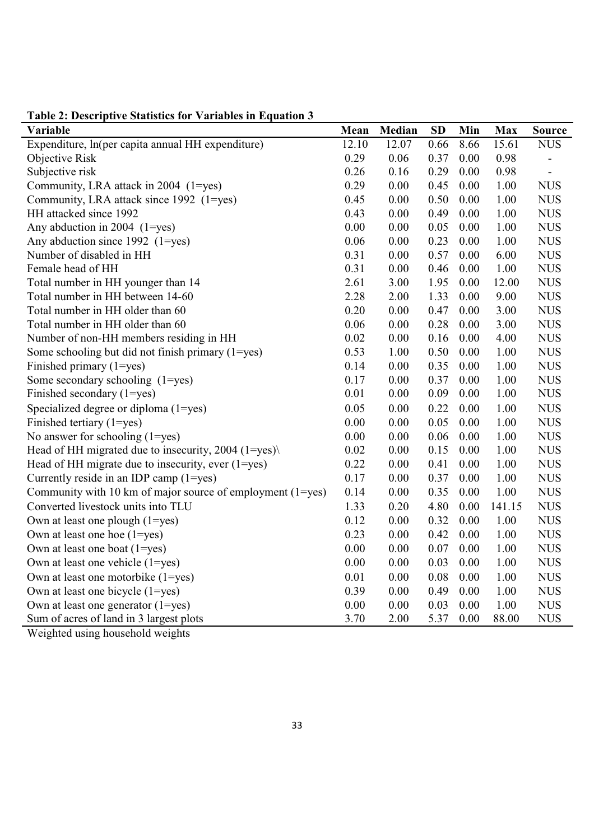| Variable                                                        | Mean  | Median   | <b>SD</b> | Min  | <b>Max</b> | <b>Source</b>            |
|-----------------------------------------------------------------|-------|----------|-----------|------|------------|--------------------------|
| Expenditure, ln(per capita annual HH expenditure)               | 12.10 | 12.07    | 0.66      | 8.66 | 15.61      | <b>NUS</b>               |
| Objective Risk                                                  | 0.29  | 0.06     | 0.37      | 0.00 | 0.98       |                          |
| Subjective risk                                                 | 0.26  | 0.16     | 0.29      | 0.00 | 0.98       | $\overline{\phantom{a}}$ |
| Community, LRA attack in 2004 (1=yes)                           | 0.29  | 0.00     | 0.45      | 0.00 | 1.00       | <b>NUS</b>               |
| Community, LRA attack since 1992 (1=yes)                        | 0.45  | 0.00     | 0.50      | 0.00 | 1.00       | <b>NUS</b>               |
| HH attacked since 1992                                          | 0.43  | 0.00     | 0.49      | 0.00 | 1.00       | <b>NUS</b>               |
| Any abduction in 2004 $(1 = yes)$                               | 0.00  | 0.00     | 0.05      | 0.00 | 1.00       | <b>NUS</b>               |
| Any abduction since $1992$ (1=yes)                              | 0.06  | 0.00     | 0.23      | 0.00 | 1.00       | <b>NUS</b>               |
| Number of disabled in HH                                        | 0.31  | 0.00     | 0.57      | 0.00 | 6.00       | <b>NUS</b>               |
| Female head of HH                                               | 0.31  | 0.00     | 0.46      | 0.00 | 1.00       | <b>NUS</b>               |
| Total number in HH younger than 14                              | 2.61  | 3.00     | 1.95      | 0.00 | 12.00      | <b>NUS</b>               |
| Total number in HH between 14-60                                | 2.28  | 2.00     | 1.33      | 0.00 | 9.00       | <b>NUS</b>               |
| Total number in HH older than 60                                | 0.20  | 0.00     | 0.47      | 0.00 | 3.00       | <b>NUS</b>               |
| Total number in HH older than 60                                | 0.06  | 0.00     | 0.28      | 0.00 | 3.00       | <b>NUS</b>               |
| Number of non-HH members residing in HH                         | 0.02  | 0.00     | 0.16      | 0.00 | 4.00       | <b>NUS</b>               |
| Some schooling but did not finish primary $(1 = yes)$           | 0.53  | 1.00     | 0.50      | 0.00 | 1.00       | <b>NUS</b>               |
| Finished primary (1=yes)                                        | 0.14  | 0.00     | 0.35      | 0.00 | 1.00       | <b>NUS</b>               |
| Some secondary schooling (1=yes)                                | 0.17  | 0.00     | 0.37      | 0.00 | 1.00       | <b>NUS</b>               |
| Finished secondary (1=yes)                                      | 0.01  | 0.00     | 0.09      | 0.00 | 1.00       | <b>NUS</b>               |
| Specialized degree or diploma (1=yes)                           | 0.05  | 0.00     | 0.22      | 0.00 | 1.00       | <b>NUS</b>               |
| Finished tertiary (1=yes)                                       | 0.00  | $0.00\,$ | 0.05      | 0.00 | 1.00       | <b>NUS</b>               |
| No answer for schooling $(1 = yes)$                             | 0.00  | 0.00     | 0.06      | 0.00 | 1.00       | <b>NUS</b>               |
| Head of HH migrated due to insecurity, $2004$ (1=yes) $\langle$ | 0.02  | 0.00     | 0.15      | 0.00 | 1.00       | <b>NUS</b>               |
| Head of HH migrate due to insecurity, ever $(1 = yes)$          | 0.22  | 0.00     | 0.41      | 0.00 | 1.00       | <b>NUS</b>               |
| Currently reside in an IDP camp $(1=yes)$                       | 0.17  | 0.00     | 0.37      | 0.00 | 1.00       | <b>NUS</b>               |
| Community with 10 km of major source of employment $(1 = yes)$  | 0.14  | 0.00     | 0.35      | 0.00 | 1.00       | <b>NUS</b>               |
| Converted livestock units into TLU                              | 1.33  | 0.20     | 4.80      | 0.00 | 141.15     | <b>NUS</b>               |
| Own at least one plough (1=yes)                                 | 0.12  | 0.00     | 0.32      | 0.00 | 1.00       | <b>NUS</b>               |
| Own at least one hoe $(1 = yes)$                                | 0.23  | 0.00     | 0.42      | 0.00 | 1.00       | <b>NUS</b>               |
| Own at least one boat (1=yes)                                   | 0.00  | 0.00     | 0.07      | 0.00 | 1.00       | <b>NUS</b>               |
| Own at least one vehicle (1=yes)                                | 0.00  | 0.00     | 0.03      | 0.00 | 1.00       | <b>NUS</b>               |
| Own at least one motorbike (1=yes)                              | 0.01  | 0.00     | 0.08      | 0.00 | 1.00       | <b>NUS</b>               |
| Own at least one bicycle (1=yes)                                | 0.39  | 0.00     | 0.49      | 0.00 | 1.00       | <b>NUS</b>               |
| Own at least one generator $(1 = yes)$                          | 0.00  | $0.00\,$ | 0.03      | 0.00 | 1.00       | <b>NUS</b>               |
| Sum of acres of land in 3 largest plots                         | 3.70  | 2.00     | 5.37      | 0.00 | 88.00      | <b>NUS</b>               |

**Table 2: Descriptive Statistics for Variables in Equation 3** 

Weighted using household weights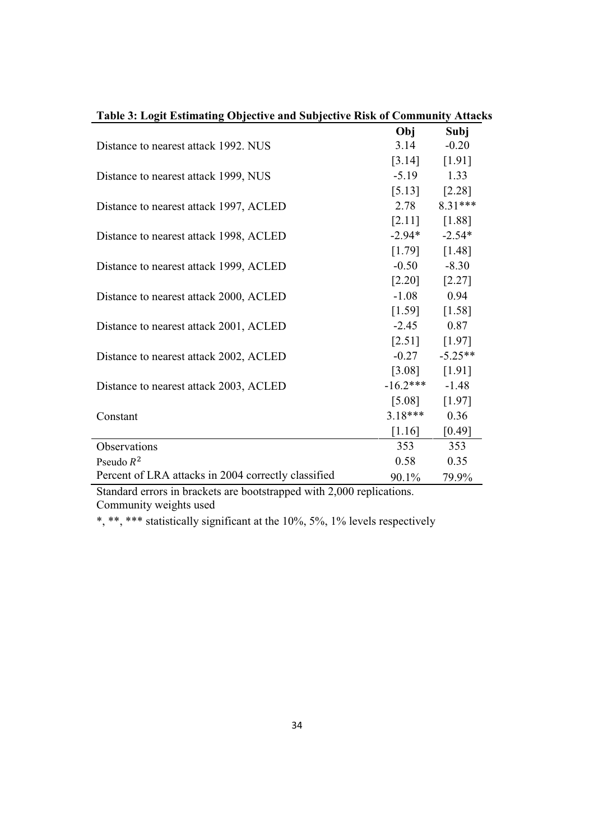| Table 3: Logit Estimating Objective and Subjective Risk of Community Attacks |                    |                   |
|------------------------------------------------------------------------------|--------------------|-------------------|
|                                                                              | Obj                | Subj              |
| Distance to nearest attack 1992. NUS                                         | 3.14               | $-0.20$           |
|                                                                              |                    | [3.14] [1.91]     |
| Distance to nearest attack 1999, NUS                                         | $-5.19$ 1.33       |                   |
|                                                                              |                    | $[5.13]$ $[2.28]$ |
| Distance to nearest attack 1997, ACLED                                       | 2.78               | $8.31***$         |
|                                                                              |                    | $[2.11]$ $[1.88]$ |
| Distance to nearest attack 1998, ACLED                                       | $-2.94*$ $-2.54*$  |                   |
|                                                                              |                    | $[1.79]$ $[1.48]$ |
| Distance to nearest attack 1999, ACLED                                       |                    | $-0.50 -8.30$     |
|                                                                              |                    | $[2.20]$ $[2.27]$ |
| Distance to nearest attack 2000, ACLED                                       | $-1.08$ 0.94       |                   |
|                                                                              |                    | $[1.59]$ $[1.58]$ |
| Distance to nearest attack 2001, ACLED                                       | $-2.45$ 0.87       |                   |
|                                                                              |                    | $[2.51]$ $[1.97]$ |
| Distance to nearest attack 2002, ACLED                                       |                    | $-0.27 -5.25**$   |
|                                                                              | [3.08]             | $[1.91]$          |
| Distance to nearest attack 2003, ACLED                                       | $-16.2***$ $-1.48$ |                   |
|                                                                              | $[5.08]$           | $[1.97]$          |
| Constant                                                                     | $3.18***$ 0.36     |                   |
|                                                                              | $[1.16]$           | [0.49]            |
| Observations                                                                 | 353                | 353               |
| Pseudo $R^2$                                                                 | 0.58               | 0.35              |
| Percent of LRA attacks in 2004 correctly classified                          | 90.1%              | 79.9%             |

Standard errors in brackets are bootstrapped with 2,000 replications. Community weights used

\*, \*\*, \*\*\* statistically significant at the 10%, 5%, 1% levels respectively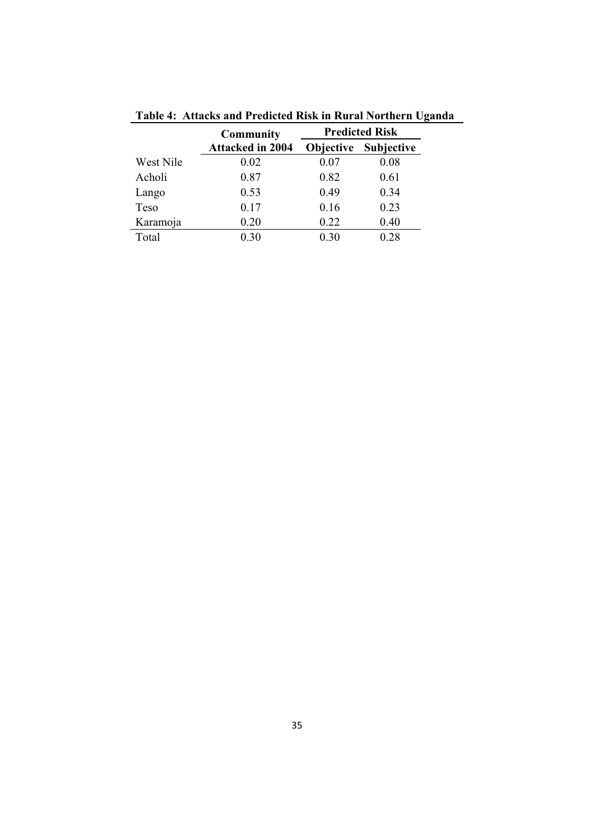|           | Community               |           | <b>Predicted Risk</b> |
|-----------|-------------------------|-----------|-----------------------|
|           | <b>Attacked in 2004</b> | Objective | <b>Subjective</b>     |
| West Nile | 0.02                    | 0.07      | 0.08                  |
| Acholi    | 0.87                    | 0.82      | 0.61                  |
| Lango     | 0.53                    | 0.49      | 0.34                  |
| Teso      | 0.17                    | 0.16      | 0.23                  |
| Karamoja  | 0.20                    | 0.22      | 0.40                  |
| Total     | 0.30                    | 0.30      | 0.28                  |

**Table 4: Attacks and Predicted Risk in Rural Northern Uganda**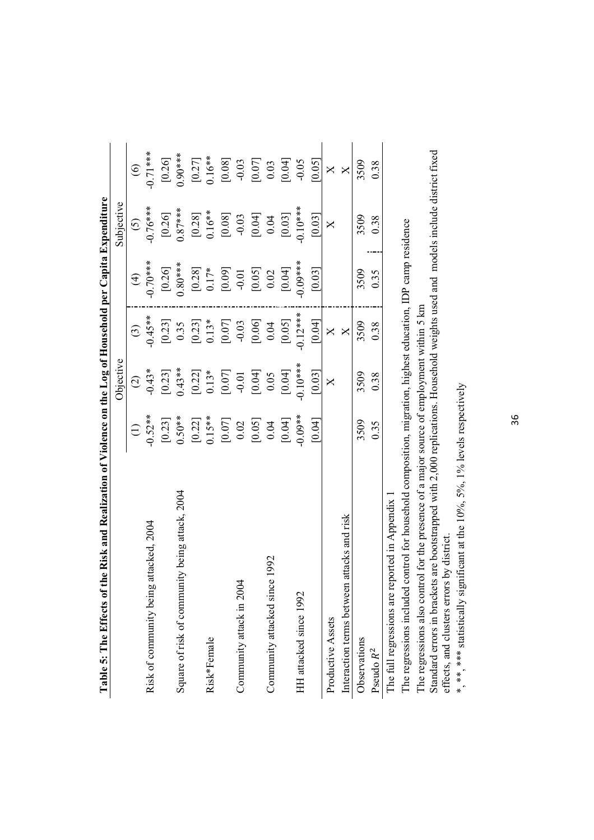| the Risk and Realization of Violence on the Log of Household per Capita Expenditure<br>Table 5: The Effects of t |                    |                     |                         |                                                               |                     |                                             |
|------------------------------------------------------------------------------------------------------------------|--------------------|---------------------|-------------------------|---------------------------------------------------------------|---------------------|---------------------------------------------|
|                                                                                                                  |                    | Objective           |                         |                                                               | Subjective          |                                             |
|                                                                                                                  | $\ominus$          | $\widehat{\omega}$  | $\odot$                 | $\bigoplus$                                                   | $\odot$             | $\odot$                                     |
| attacked, 2004<br>Risk of community being                                                                        | $-0.52**$          | $-0.43*$            | $-0.45**$               | $-0.70***$                                                    | $-0.76***$          | $-0.71***$                                  |
|                                                                                                                  | [0.23]             | [0.23]              | [0.23]                  | $[0.26]$                                                      | [0.26]              | [0.26]                                      |
| Square of risk of community being attack, 2004                                                                   | $0.50**$           | $0.43**$            | 0.35                    | $0.80***$                                                     | $0.87***$           | $0.90***$                                   |
|                                                                                                                  |                    |                     | [0.23]                  |                                                               | $[0.28]$            | $[0.27]$<br>0.16**                          |
| Risk*Female                                                                                                      | $[0.22]$<br>0.15** | $[0.22]$<br>$0.13*$ | $0.13*$                 |                                                               | $0.16**$            |                                             |
|                                                                                                                  | $[0.07]$ $0.02$    | $\left[0.07\right]$ | [0.07]                  | $\begin{bmatrix} 0.28 \\ 0.17* \\ 0.09 \\ 0.09 \end{bmatrix}$ |                     |                                             |
| Community attack in 2004                                                                                         |                    | $-0.01$             |                         |                                                               | [0.08]              | $\begin{bmatrix} 0.08 \end{bmatrix}$ -0.03  |
|                                                                                                                  | $[0.05]$           | $[0.04]$            | $[0.06]$                |                                                               | $[0.04]$            | $\begin{bmatrix} 0.07 \ 0.03 \end{bmatrix}$ |
| Community attacked since 1992                                                                                    | 0.04               | 0.05                | 0.04                    | $\begin{bmatrix} 0.05 \\ 0.02 \end{bmatrix}$                  | 0.04                |                                             |
|                                                                                                                  | [0.04]             | [0.04]              | [0.05]                  | [0.04]                                                        | $\left[0.03\right]$ | [0.04]                                      |
| HH attacked since 1992                                                                                           | $-0.09**$          | $0.10**$            | $-0.12***$              | $+$ ***00.0                                                   | $0.10**$            | $-0.05$                                     |
|                                                                                                                  | [0.04]             | [0.03]              | [0.04]                  | [0.03]                                                        | [0.03]              | [0.05]                                      |
| Productive Assets                                                                                                |                    | $\mathsf{X}$        | $\mathsf{X}$            |                                                               | $\mathsf{X}$        | ×                                           |
| attacks and risk<br>Interaction terms between                                                                    |                    |                     | $\overline{\mathsf{X}}$ |                                                               |                     | ×                                           |
| Observations                                                                                                     | 3509               | 3509                | 3509                    | 3509                                                          | 3509                | 3509                                        |
| Pseudo R <sup>2</sup>                                                                                            | 0.35               | 0.38                | 0.38                    | 0.35                                                          | 0.38                | 0.38                                        |
| The full regressions are reported in Appendix 1                                                                  |                    |                     |                         |                                                               |                     |                                             |
| control for household composition, migration, highest education, IDP camp residence<br>The regressions included  |                    |                     |                         |                                                               |                     |                                             |
| The recreasions also control for the messange of a maior source of annihouse within 5 lym                        |                    |                     |                         |                                                               |                     |                                             |

The regressions also control for the presence of a major source of employment within 5 km

The regressions also control for the presence of a major source of employment within 5 km<br>Standard errors in brackets are bootstrapped with 2,000 replications. Household weights used and models include district fixed<br>effec Standard errors in brackets are bootstrapped with 2,000 replications. Household weights used and models include district fixed effects, and clusters errors by district.

\*, \*\*, \*\*\* statistically significant at the 10%, 5%, 1% levels respectively \*, \*\*, \*\*\* statistically significant at the 10%, 5%, 1% levels respectively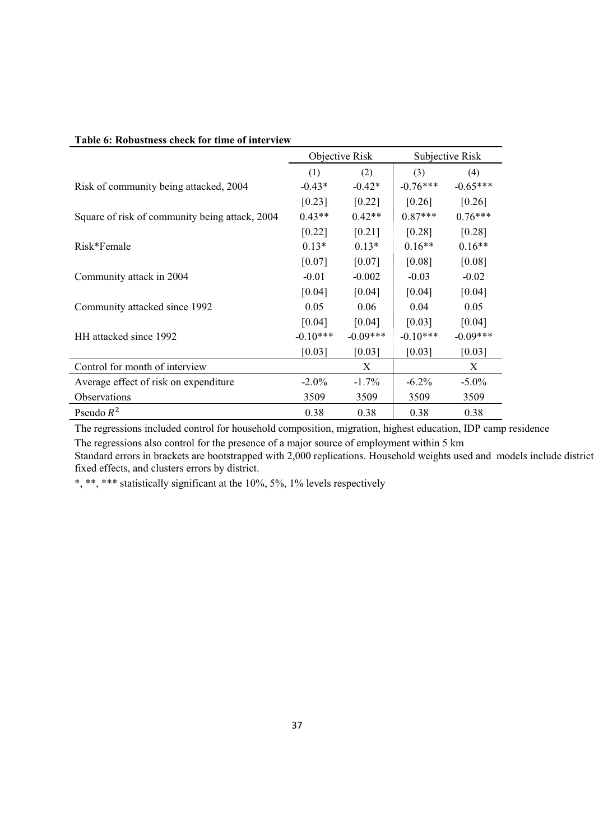| Table v. Rubustliess clieck for thire of filter view |            |                |                      |                 |
|------------------------------------------------------|------------|----------------|----------------------|-----------------|
|                                                      |            | Objective Risk |                      | Subjective Risk |
|                                                      | (1)        | (2)            | (3)                  | (4)             |
| Risk of community being attacked, 2004               | $-0.43*$   | $-0.42*$       | $-0.76***$           | $-0.65***$      |
|                                                      | [0.23]     | [0.22]         | $\lceil 0.26 \rceil$ | $[0.26]$        |
| Square of risk of community being attack, 2004       | $0.43**$   | $0.42**$       | $0.87***$            | $0.76***$       |
|                                                      | [0.22]     | [0.21]         | [0.28]               | [0.28]          |
| Risk*Female                                          | $0.13*$    | $0.13*$        | $0.16**$             | $0.16**$        |
|                                                      | [0.07]     | [0.07]         | [0.08]               | [0.08]          |
| Community attack in 2004                             | $-0.01$    | $-0.002$       | $-0.03$              | $-0.02$         |
|                                                      | [0.04]     | [0.04]         | [0.04]               | [0.04]          |
| Community attacked since 1992                        | 0.05       | 0.06           | 0.04                 | 0.05            |
|                                                      | [0.04]     | [0.04]         | [0.03]               | [0.04]          |
| HH attacked since 1992                               | $-0.10***$ | $-0.09***$     | $-0.10***$           | $-0.09***$      |
|                                                      | [0.03]     | [0.03]         | [0.03]               | [0.03]          |
| Control for month of interview                       |            | X              |                      | X               |
| Average effect of risk on expenditure.               | $-2.0\%$   | $-1.7\%$       | $-6.2\%$             | $-5.0\%$        |
| Observations                                         | 3509       | 3509           | 3509                 | 3509            |
| Pseudo $R^2$                                         | 0.38       | 0.38           | 0.38                 | 0.38            |

#### **Table 6: Robustness check for time of interview**

The regressions included control for household composition, migration, highest education, IDP camp residence

The regressions also control for the presence of a major source of employment within 5 km

Standard errors in brackets are bootstrapped with 2,000 replications. Household weights used and models include district fixed effects, and clusters errors by district.

\*, \*\*, \*\*\* statistically significant at the 10%, 5%, 1% levels respectively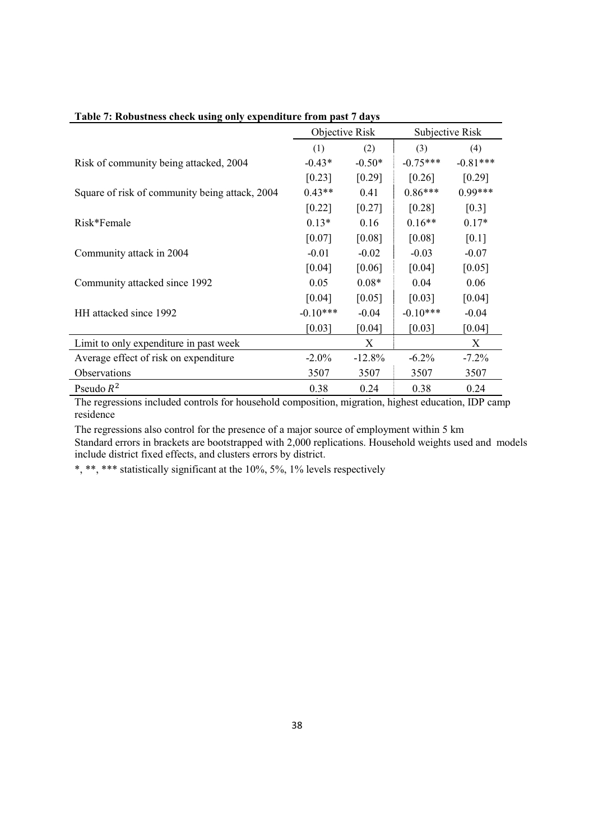|                                                | Objective Risk |           | Subjective Risk |            |
|------------------------------------------------|----------------|-----------|-----------------|------------|
|                                                | (1)            | (2)       | (3)             | (4)        |
| Risk of community being attacked, 2004         | $-0.43*$       | $-0.50*$  | $-0.75***$      | $-0.81***$ |
|                                                | [0.23]         | [0.29]    | [0.26]          | $[0.29]$   |
| Square of risk of community being attack, 2004 | $0.43**$       | 0.41      | $0.86***$       | $0.99***$  |
|                                                | [0.22]         | [0.27]    | [0.28]          | [0.3]      |
| Risk*Female                                    | $0.13*$        | 0.16      | $0.16**$        | $0.17*$    |
|                                                | [0.07]         | [0.08]    | [0.08]          | [0.1]      |
| Community attack in 2004                       | $-0.01$        | $-0.02$   | $-0.03$         | $-0.07$    |
|                                                | [0.04]         | [0.06]    | [0.04]          | [0.05]     |
| Community attacked since 1992                  | 0.05           | $0.08*$   | 0.04            | 0.06       |
|                                                | [0.04]         | [0.05]    | [0.03]          | [0.04]     |
| HH attacked since 1992                         | $-0.10***$     | $-0.04$   | $-0.10***$      | $-0.04$    |
|                                                | [0.03]         | [0.04]    | [0.03]          | [0.04]     |
| Limit to only expenditure in past week         |                | X         |                 | X          |
| Average effect of risk on expenditure          | $-2.0\%$       | $-12.8\%$ | $-6.2\%$        | $-7.2\%$   |
| Observations                                   | 3507           | 3507      | 3507            | 3507       |
| Pseudo $R^2$                                   | 0.38           | 0.24      | 0.38            | 0.24       |

### **Table 7: Robustness check using only expenditure from past 7 days**

The regressions included controls for household composition, migration, highest education, IDP camp residence

The regressions also control for the presence of a major source of employment within 5 km Standard errors in brackets are bootstrapped with 2,000 replications. Household weights used and models include district fixed effects, and clusters errors by district.

\*, \*\*, \*\*\* statistically significant at the 10%, 5%, 1% levels respectively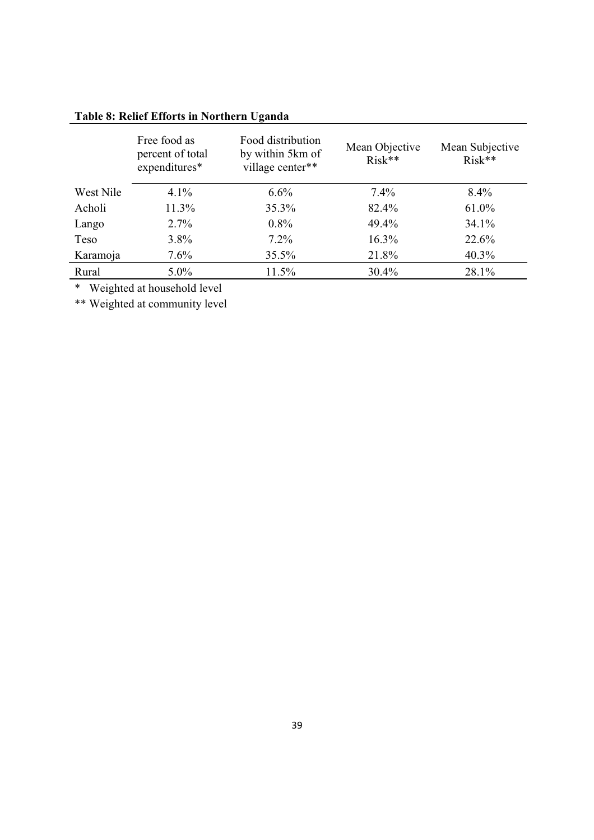|           | Free food as<br>percent of total<br>expenditures* | Food distribution<br>by within 5km of<br>village center** | Mean Objective<br>$Risk**$ | Mean Subjective<br>$Risk**$ |
|-----------|---------------------------------------------------|-----------------------------------------------------------|----------------------------|-----------------------------|
| West Nile | $4.1\%$                                           | $6.6\%$                                                   | $7.4\%$                    | $8.4\%$                     |
| Acholi    | 11.3%                                             | $35.3\%$                                                  | 82.4%                      | 61.0%                       |
| Lango     | $2.7\%$                                           | $0.8\%$                                                   | 49.4%                      | $34.1\%$                    |
| Teso      | $3.8\%$                                           | $7.2\%$                                                   | $16.3\%$                   | 22.6%                       |
| Karamoja  | $7.6\%$                                           | $35.5\%$                                                  | 21.8%                      | $40.3\%$                    |
| Rural     | $5.0\%$                                           | $11.5\%$                                                  | 30.4%                      | 28.1%                       |

# **Table 8: Relief Efforts in Northern Uganda**

\* Weighted at household level

\*\* Weighted at community level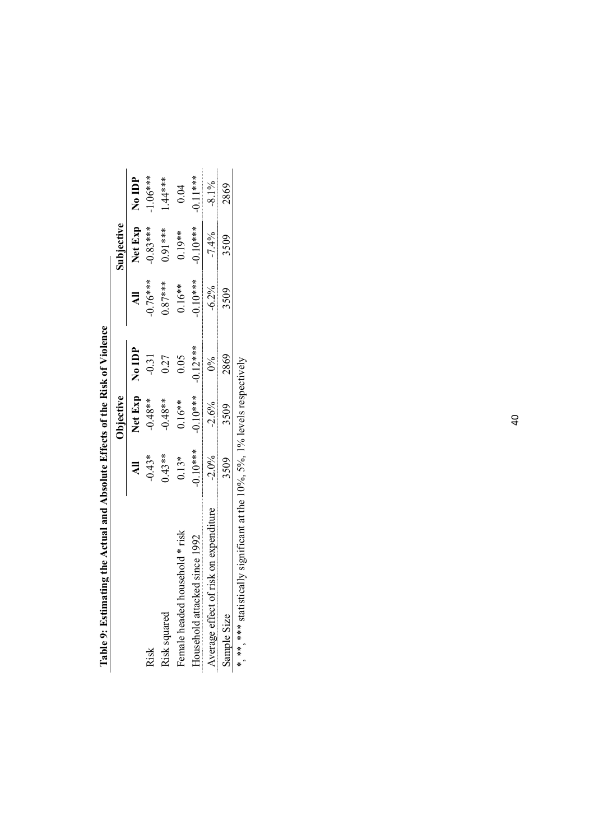| 1 able 9: Estimating the Actual and Absolute Effects of the Kisk of Violence    |                         |                |            |            |                |            |
|---------------------------------------------------------------------------------|-------------------------|----------------|------------|------------|----------------|------------|
|                                                                                 |                         | Objective      |            |            | Subjective     |            |
|                                                                                 | $\overline{\mathbf{a}}$ | Net Exp No IDP |            |            | Net Exp No IDP |            |
| Risk                                                                            | $-0.43*$                | $-0.48**$      | $-0.31$    | $-0.76***$ | $-0.83***$     | $-1.06***$ |
| Risk squared                                                                    | $0.43**$                | $-0.48**$      | 0.27       | $.87***$   | $0.91***$      | $1.44***$  |
| Female headed household * risk                                                  | $0.13*$                 | $0.16**$       | 0.05       | $0.16**$   | $0.19**$       | 0.04       |
| Household attacked since 1992                                                   | $0.10***$               | $-0.10***$     | $-0.12***$ | $0.10**$   | $-0.10***$     | $-0.11***$ |
| Average effect of risk on expenditure                                           | $-2.0%$                 | $-2.6%$        | $0\%$      | $-6.2%$    | $-7.4%$        | $-8.1\%$   |
| Sample Size                                                                     | 3509                    | 3509           | 2869       | 3509       | 3509           | 2869       |
| * ** ** ** detically significant at the $100/2$ $50/100/1$ layels rememberingly |                         |                |            |            |                |            |

**Table 9: Estimating the Actual and Absolute Effects of the Risk of Violence**  of the Pielz of Viole  $\frac{1}{2}$  of  $\frac{1}{2}$  if  $\frac{1}{2}$  if  $\frac{1}{2}$  if  $\frac{1}{2}$  if  $\frac{1}{2}$  if  $\frac{1}{2}$  if  $\frac{1}{2}$  $\frac{1}{2}$ Ë,  $\frac{1}{2}$  $\cdot$  $\frac{1}{4}$  $\frac{1}{2}$  $_{\rm Table 0: Refir}$ 

\*, \*\*, \*\*\* statistically significant at the 10%, 5%, 1% levels respectively statistically significant at the  $10\%$ ,  $5\%$ ,  $1\%$  levels respectively  $\ddot{\epsilon}$